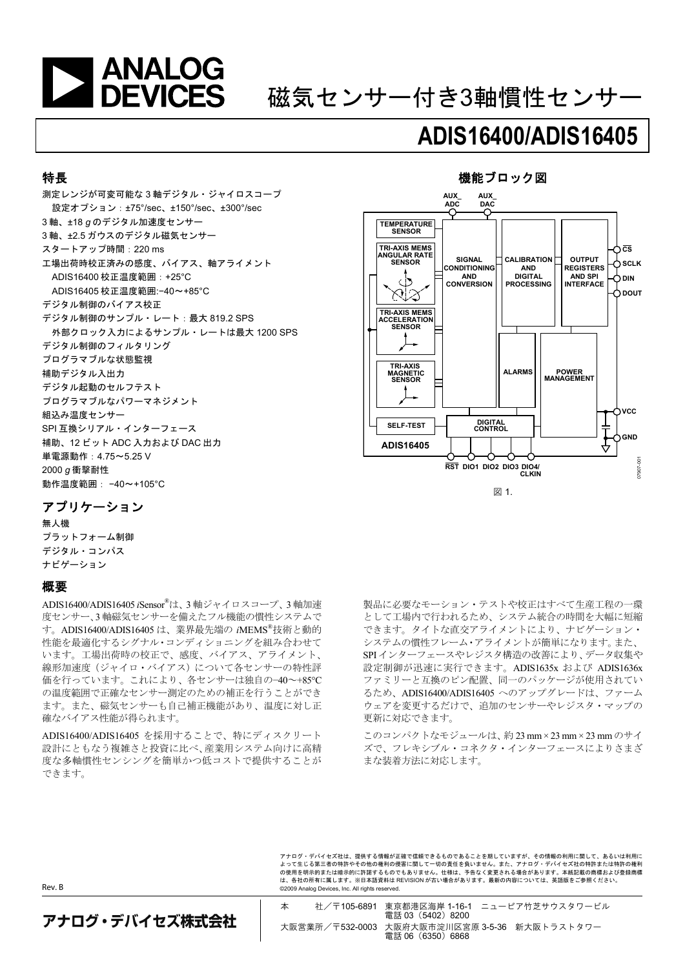

# 磁気センサー付き3軸慣性センサー

# **ADIS16400/ADIS16405**

機能ブロック図

#### 特長

測定レンジが可変可能な 3 軸デジタル・ジャイロスコープ 設定オプション:±75°/sec、±150°/sec、±300°/sec 3 軸、±18 *g* のデジタル加速度センサー 3 軸、±2.5 ガウスのデジタル磁気センサー スタートアップ時間:220 ms 工場出荷時校正済みの感度、バイアス、軸アライメント ADIS16400 校正温度範囲:+25°C ADIS16405 校正温度範囲:−40~+85°C デジタル制御のバイアス校正 デジタル制御のサンプル・レート:最大 819.2 SPS 外部クロック入力によるサンプル・レートは最大 1200 SPS デジタル制御のフィルタリング プログラマブルな状態監視 補助デジタル入出力 デジタル起動のセルフテスト プログラマブルなパワーマネジメント 組込み温度センサー SPI 互換シリアル・インターフェース 補助、12 ビット ADC 入力および DAC 出力 単電源動作:4.75~5.25 V 2000 *g* 衝撃耐性 動作温度範囲: −40~+105°C



図 1.

## アプリケーション

無人機 プラットフォーム制御 デジタル・コンパス ナビゲーション

#### 概要

ADIS16400/ADIS16405 *i*Sensor® は、3 軸ジャイロスコープ、3 軸加速 度センサー、3 軸磁気センサーを備えたフル機能の慣性システムで す。ADIS16400/ADIS16405 は、業界最先端の *i*MEMS®技術と動的 性能を最適化するシグナル・コンディショニングを組み合わせて います。工場出荷時の校正で、感度、バイアス、アライメント、 線形加速度(ジャイロ・バイアス)について各センサーの特性評 価を行っています。これにより、各センサーは独自の−40~+85°C の温度範囲で正確なセンサー測定のための補正を行うことができ ます。また、磁気センサーも自己補正機能があり、温度に対し正 確なバイアス性能が得られます。

ADIS16400/ADIS16405 を採用することで、特にディスクリート 設計にともなう複雑さと投資に比べ、産業用システム向けに高精 度な多軸慣性センシングを簡単かつ低コストで提供することが できます。

製品に必要なモーション・テストや校正はすべて生産工程の一環 として工場内で行われるため、システム統合の時間を大幅に短縮 できます。タイトな直交アライメントにより、ナビゲーション・ システムの慣性フレーム・アライメントが簡単になります。また、 SPI インターフェースやレジスタ構造の改善により、データ収集や 設定制御が迅速に実行できます。ADIS1635x および ADIS1636x ファミリーと互換のピン配置、同一のパッケージが使用されてい るため、ADIS16400/ADIS16405 へのアップグレードは、ファーム ウェアを変更するだけで、追加のセンサーやレジスタ・マップの 更新に対応できます。

このコンパクトなモジュールは、約 23 mm × 23 mm × 23 mm のサイ ズで、フレキシブル・コネクタ・インターフェースによりさまざ まな装着方法に対応します。

アナログ・デバイセズ社は、提供する情報が正確で信頼できるものであることを期していますが、その情報の利用に関して、あるいは利用に よって生じる第三者の特許やその他の権利の侵害に関して一切の責任を負いません。また、アナログ・デバイセズ社の特許または特許の権利 の使用を明示的または暗示的に許諾するものでもありません。仕様は、予告なく変更される場合があります。本紙記載の商標および登録商標 は、各社の所有に属します。※日本語資料は REVISION が古い場合があります。最新の内容については、英語版をご参照ください。 ©2009 Analog Devices, Inc. All rights reserved.

Rev. B

アナログ・デバイセズ株式会社

本 社/〒105-6891 東京都港区海岸 1-16-1 ニューピア竹芝サウスタワービル 電話 03 (5402) 8200 大阪営業所/〒532-0003 大阪府大阪市淀川区宮原 3-5-36 新大阪トラストタワー 電話 06(6350)6868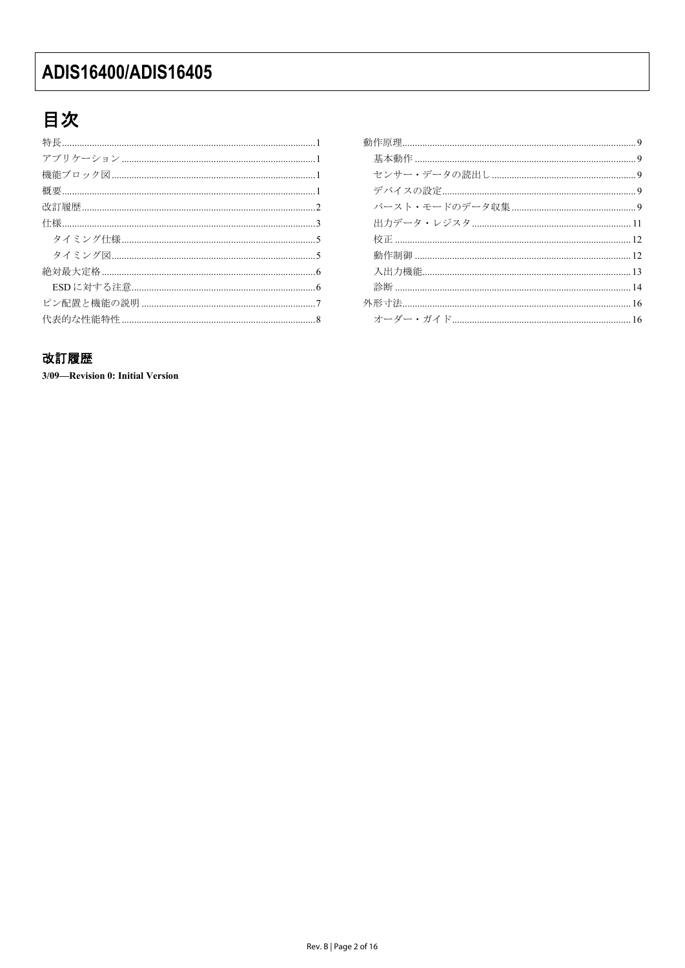## 目次

### 外形寸法………………………………………………………………………………16

### 改訂履歴

3/09-Revision 0: Initial Version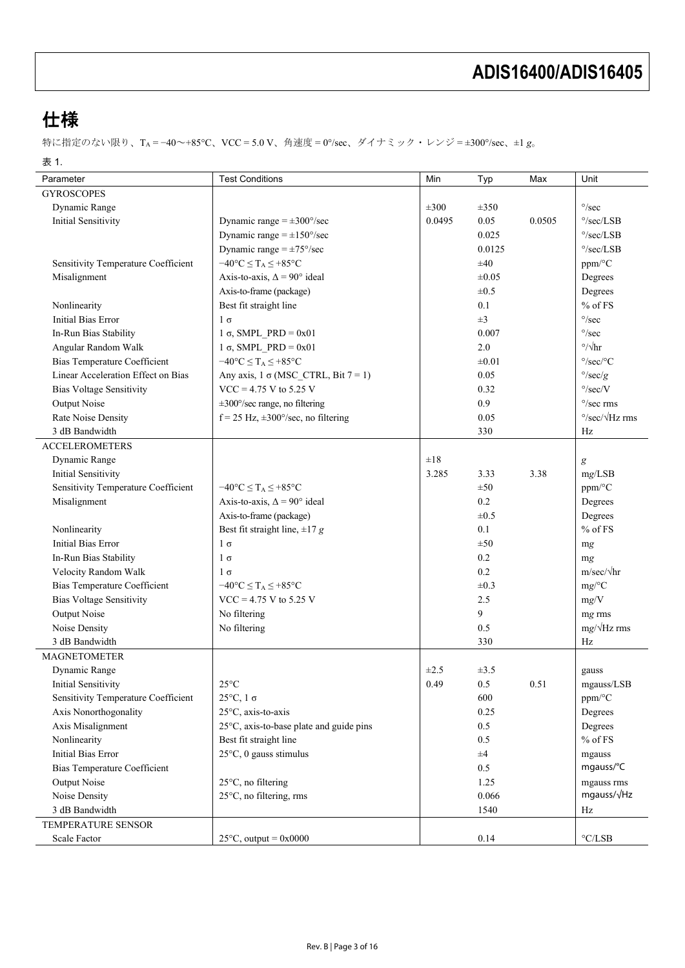仕様

特に指定のない限り、TA = −40~+85°C、VCC = 5.0 V、角速度 = 0°/sec、ダイナミック・レンジ = ±300°/sec、±1 *g*。

表 1.

| Parameter                           | <b>Test Conditions</b>                                   | Min       | Typ        | Max    | Unit                            |
|-------------------------------------|----------------------------------------------------------|-----------|------------|--------|---------------------------------|
| <b>GYROSCOPES</b>                   |                                                          |           |            |        |                                 |
| Dynamic Range                       |                                                          | $\pm 300$ | $\pm 350$  |        | $^{\circ}/\mathrm{sec}$         |
| Initial Sensitivity                 | Dynamic range $=\pm 300^{\circ}/\text{sec}$              | 0.0495    | 0.05       | 0.0505 | $\degree$ /sec/LSB              |
|                                     | Dynamic range = $\pm 150^{\circ}/\text{sec}$             |           | 0.025      |        | $\degree$ /sec/LSB              |
|                                     | Dynamic range $=\pm 75^{\circ}/\text{sec}$               |           | 0.0125     |        | $\degree$ /sec/LSB              |
| Sensitivity Temperature Coefficient | $-40^{\circ}C \leq T_A \leq +85^{\circ}C$                |           | ±40        |        | ppm/°C                          |
| Misalignment                        | Axis-to-axis, $\Delta = 90^{\circ}$ ideal                |           | $\pm 0.05$ |        | Degrees                         |
|                                     | Axis-to-frame (package)                                  |           | $\pm 0.5$  |        | Degrees                         |
| Nonlinearity                        | Best fit straight line                                   |           | 0.1        |        | $%$ of FS                       |
| Initial Bias Error                  |                                                          |           | $\pm 3$    |        | $^{\circ}/\mathrm{sec}$         |
|                                     | $1\sigma$                                                |           | 0.007      |        | $^{\circ}/\mathrm{sec}$         |
| In-Run Bias Stability               | $1 \sigma$ , SMPL PRD = 0x01                             |           |            |        | $\degree/\sqrt{\text{hr}}$      |
| Angular Random Walk                 | $1 \sigma$ , SMPL PRD = 0x01                             |           | 2.0        |        |                                 |
| <b>Bias Temperature Coefficient</b> | $-40^{\circ}C \leq T_A \leq +85^{\circ}C$                |           | $\pm 0.01$ |        | $\degree$ /sec/ $\degree$ C     |
| Linear Acceleration Effect on Bias  | Any axis, $1 \sigma$ (MSC_CTRL, Bit $7 = 1$ )            |           | 0.05       |        | $\degree$ /sec/g                |
| <b>Bias Voltage Sensitivity</b>     | $VCC = 4.75$ V to 5.25 V                                 |           | 0.32       |        | $\degree$ /sec/V                |
| Output Noise                        | $\pm 300^{\circ}/\text{sec}$ range, no filtering         |           | 0.9        |        | $\degree$ /sec rms              |
| Rate Noise Density                  | $f = 25$ Hz, $\pm 300^{\circ}/\text{sec}$ , no filtering |           | 0.05       |        | $\degree$ /sec/ $\sqrt{Hz}$ rms |
| 3 dB Bandwidth                      |                                                          |           | 330        |        | Hz                              |
| <b>ACCELEROMETERS</b>               |                                                          |           |            |        |                                 |
| Dynamic Range                       |                                                          | $\pm 18$  |            |        | $\boldsymbol{g}$                |
| Initial Sensitivity                 |                                                          | 3.285     | 3.33       | 3.38   | mg/LSB                          |
| Sensitivity Temperature Coefficient | $-40^{\circ}C \leq T_A \leq +85^{\circ}C$                |           | ±50        |        | ppm/°C                          |
| Misalignment                        | Axis-to-axis, $\Delta = 90^{\circ}$ ideal                |           | 0.2        |        | Degrees                         |
|                                     | Axis-to-frame (package)                                  |           | $\pm 0.5$  |        | Degrees                         |
| Nonlinearity                        | Best fit straight line, $\pm 17$ g                       |           | 0.1        |        | $%$ of FS                       |
| <b>Initial Bias Error</b>           | $1\sigma$                                                |           | ±50        |        | mg                              |
| In-Run Bias Stability               | $1\sigma$                                                |           | 0.2        |        | mg                              |
| Velocity Random Walk                | $1\sigma$                                                |           | 0.2        |        | $m/sec/\sqrt{hr}$               |
| <b>Bias Temperature Coefficient</b> | $-40^{\circ}C \leq T_A \leq +85^{\circ}C$                |           | $\pm 0.3$  |        | $mg$ /°C                        |
| <b>Bias Voltage Sensitivity</b>     | $VCC = 4.75$ V to 5.25 V                                 |           | 2.5        |        | mg/V                            |
| <b>Output Noise</b>                 | No filtering                                             |           | 9          |        | mg rms                          |
| Noise Density                       | No filtering                                             |           | 0.5        |        | $mg/\sqrt{Hz}$ rms              |
| 3 dB Bandwidth                      |                                                          |           | 330        |        | Hz                              |
| <b>MAGNETOMETER</b>                 |                                                          |           |            |        |                                 |
| Dynamic Range                       |                                                          | $\pm 2.5$ | $\pm 3.5$  |        | gauss                           |
| <b>Initial Sensitivity</b>          | $25^{\circ}\mathrm{C}$                                   | 0.49      | $0.5\,$    | 0.51   | mgauss/LSB                      |
| Sensitivity Temperature Coefficient | $25^{\circ}$ C, 1 $\sigma$                               |           | 600        |        | ppm/°C                          |
| Axis Nonorthogonality               | 25°C, axis-to-axis                                       |           | 0.25       |        | Degrees                         |
| Axis Misalignment                   | 25°C, axis-to-base plate and guide pins                  |           | 0.5        |        | Degrees                         |
| Nonlinearity                        | Best fit straight line                                   |           | 0.5        |        | $%$ of FS                       |
| <b>Initial Bias Error</b>           | $25^{\circ}$ C, 0 gauss stimulus                         |           | $\pm 4$    |        | mgauss                          |
| <b>Bias Temperature Coefficient</b> |                                                          |           | 0.5        |        | mgauss/°C                       |
| Output Noise                        | 25°C, no filtering                                       |           | 1.25       |        | mgauss rms                      |
| Noise Density                       | 25°C, no filtering, rms                                  |           | 0.066      |        | mgauss/√Hz                      |
| 3 dB Bandwidth                      |                                                          |           | 1540       |        | Hz                              |
| TEMPERATURE SENSOR                  |                                                          |           |            |        |                                 |
| Scale Factor                        | $25^{\circ}$ C, output = 0x0000                          |           | 0.14       |        | $^{\circ}\text{C/LSB}$          |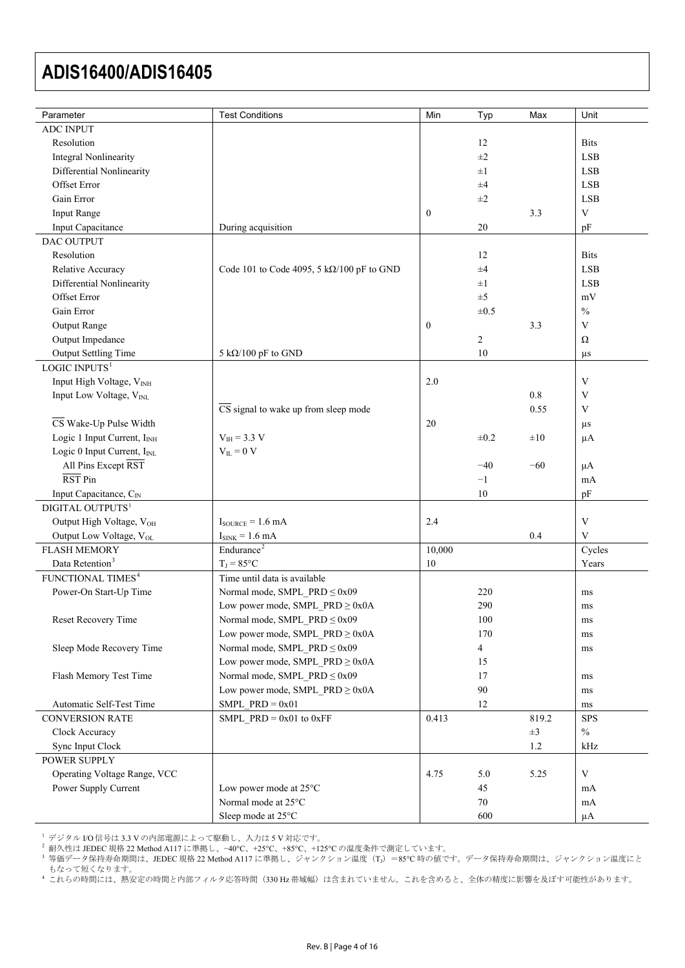<span id="page-3-0"></span>

| Parameter                                                          | <b>Test Conditions</b>                                                    | Min          | Typ            | Max              | Unit                      |
|--------------------------------------------------------------------|---------------------------------------------------------------------------|--------------|----------------|------------------|---------------------------|
| <b>ADC INPUT</b>                                                   |                                                                           |              |                |                  |                           |
| Resolution                                                         |                                                                           |              | 12             |                  | <b>Bits</b>               |
| <b>Integral Nonlinearity</b>                                       |                                                                           |              | $\pm 2$        |                  | <b>LSB</b>                |
| Differential Nonlinearity                                          |                                                                           |              | $\pm 1$        |                  | <b>LSB</b>                |
| Offset Error                                                       |                                                                           |              | ±4             |                  | <b>LSB</b>                |
| Gain Error                                                         |                                                                           |              | $\pm 2$        |                  | <b>LSB</b>                |
| <b>Input Range</b>                                                 |                                                                           | $\bf{0}$     |                | 3.3              | V                         |
| Input Capacitance                                                  | During acquisition                                                        |              | 20             |                  | pF                        |
| DAC OUTPUT                                                         |                                                                           |              |                |                  |                           |
| Resolution                                                         |                                                                           |              | 12             |                  | <b>Bits</b>               |
| Relative Accuracy                                                  | Code 101 to Code 4095, 5 k $\Omega$ /100 pF to GND                        |              | $\pm 4$        |                  | <b>LSB</b>                |
| Differential Nonlinearity                                          |                                                                           |              | $\pm 1$        |                  | <b>LSB</b>                |
| Offset Error                                                       |                                                                           |              | $\pm$ 5        |                  | mV                        |
| Gain Error                                                         |                                                                           |              | $\pm 0.5$      |                  | $\frac{0}{0}$             |
| <b>Output Range</b>                                                |                                                                           | $\mathbf{0}$ |                | 3.3              | V                         |
| Output Impedance                                                   |                                                                           |              | $\overline{c}$ |                  | $\Omega$                  |
|                                                                    | 5 k $\Omega$ /100 pF to GND                                               |              | 10             |                  |                           |
| Output Settling Time<br>$LOGIC$ $INPUTS1$                          |                                                                           |              |                |                  | $\mu s$                   |
| Input High Voltage, VINH                                           |                                                                           | 2.0          |                |                  | $\mathbf V$               |
|                                                                    |                                                                           |              |                | 0.8              | $\mathbf V$               |
| Input Low Voltage, VINL                                            | $\overline{\text{CS}}$ signal to wake up from sleep mode                  |              |                |                  | V                         |
| $\overline{\text{CS}}$ Wake-Up Pulse Width                         |                                                                           | 20           |                | 0.55             |                           |
|                                                                    |                                                                           |              |                |                  | $\mu s$                   |
| Logic 1 Input Current, I <sub>INH</sub>                            | $V_{IH} = 3.3 V$                                                          |              | $\pm 0.2$      | $\pm 10$         | $\mu A$                   |
| Logic 0 Input Current, I <sub>INL</sub><br>All Pins Except RST     | $V_{IL} = 0 V$                                                            |              |                |                  |                           |
| $\overline{\text{RST}}$ Pin                                        |                                                                           |              | $-40$<br>$-1$  | $-60$            | $\mu A$                   |
|                                                                    |                                                                           |              | 10             |                  | mA                        |
| Input Capacitance, C <sub>IN</sub><br>DIGITAL OUTPUTS <sup>1</sup> |                                                                           |              |                |                  | pF                        |
| Output High Voltage, VOH                                           | $I_{\text{SOLRCE}} = 1.6 \text{ mA}$                                      | 2.4          |                |                  | $\ensuremath{\mathbf{V}}$ |
|                                                                    |                                                                           |              |                | 0.4              | V                         |
| Output Low Voltage, VOL                                            | $I_{SINK} = 1.6 mA$<br>Endurance <sup>2</sup>                             |              |                |                  |                           |
| <b>FLASH MEMORY</b><br>Data Retention <sup>3</sup>                 | $T_J = 85$ °C                                                             | 10,000<br>10 |                |                  | Cycles<br>Years           |
| FUNCTIONAL TIMES <sup>4</sup>                                      |                                                                           |              |                |                  |                           |
| Power-On Start-Up Time                                             | Time until data is available                                              |              | 220            |                  |                           |
|                                                                    | Normal mode, SMPL_PRD ≤ 0x09<br>Low power mode, SMPL_PRD $\geq$ 0x0A      |              | 290            |                  | ms                        |
|                                                                    |                                                                           |              |                |                  | ms                        |
| Reset Recovery Time                                                | Normal mode, SMPL PRD $\leq 0x09$                                         |              | 100            |                  | ms                        |
| Sleep Mode Recovery Time                                           | Low power mode, SMPL_PRD $\geq$ 0x0A<br>Normal mode, SMPL PRD $\leq$ 0x09 |              | 170            |                  | ms                        |
|                                                                    | Low power mode, SMPL_PRD $\geq$ 0x0A                                      |              | 4<br>15        |                  | ms                        |
|                                                                    |                                                                           |              | 17             |                  |                           |
| Flash Memory Test Time                                             | Normal mode, SMPL $PRD \le 0x09$                                          |              | 90             |                  | ms                        |
| Automatic Self-Test Time                                           | Low power mode, SMPL PRD $\geq$ 0x0A<br>SMPL $PRD = 0x01$                 |              | 12             |                  | ms                        |
|                                                                    |                                                                           |              |                |                  | ms                        |
| <b>CONVERSION RATE</b>                                             | SMPL_PRD = $0x01$ to $0xFF$                                               | 0.413        |                | 819.2<br>$\pm 3$ | <b>SPS</b><br>$\%$        |
| Clock Accuracy                                                     |                                                                           |              |                |                  |                           |
| Sync Input Clock                                                   |                                                                           |              |                | 1.2              | kHz                       |
| POWER SUPPLY                                                       |                                                                           |              |                |                  | $\ensuremath{\mathbf{V}}$ |
| Operating Voltage Range, VCC<br>Power Supply Current               |                                                                           | 4.75         | 5.0<br>45      | 5.25             |                           |
|                                                                    | Low power mode at $25^{\circ}$ C<br>Normal mode at 25°C                   |              | 70             |                  | mA                        |
|                                                                    | Sleep mode at 25°C                                                        |              | 600            |                  | mA<br>$\mu A$             |
|                                                                    |                                                                           |              |                |                  |                           |

<sup>1</sup> デジタル I/O 信号は 3.3 V の内部電源によって駆動し、入力は 5 V 対応です。

<span id="page-3-1"></span><sup>2</sup> 耐久性は JEDEC 規格 22 Method A117 に準拠し、−40°C、+25°C、+85°C、+125°C の温度条件で測定しています。

<span id="page-3-2"></span><sup>3</sup> 等価データ保持寿命期間は、JEDEC 規格 22 Method A117 に準拠し、ジャンクション温度(T<sub>J</sub>) =85℃ 時の値です。データ保持寿命期間は、ジャンクション温度にと もなって短くなります。

<span id="page-3-3"></span><sup>4</sup> これらの時間には、熱安定の時間と内部フィルタ応答時間(330 Hz 帯域幅)は含まれていません。これを含めると、全体の精度に影響を及ぼす可能性があります。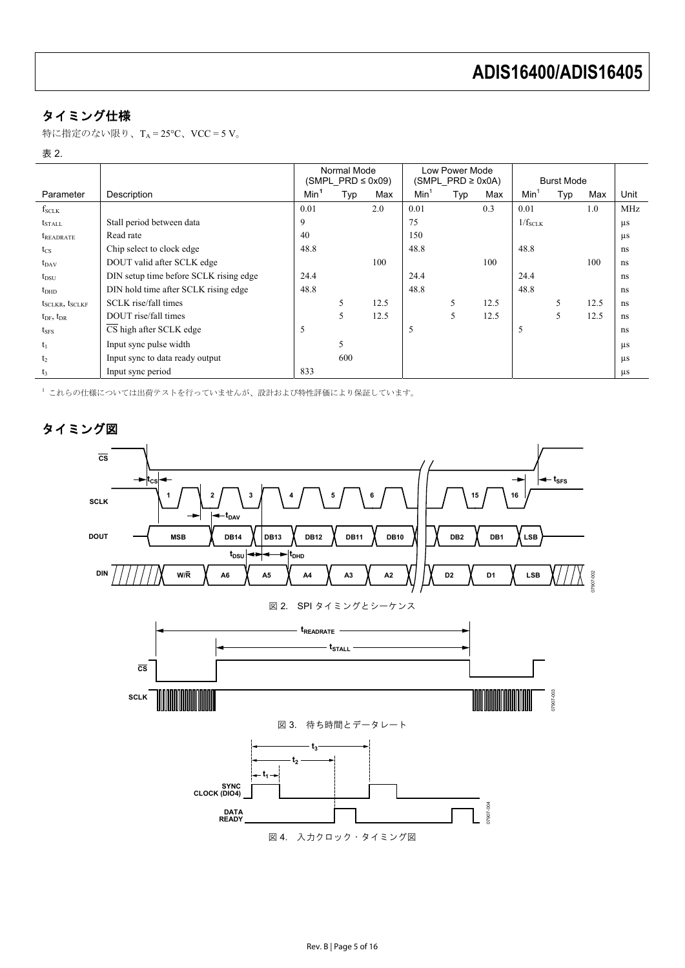## タイミング仕様

特に指定のない限り、TA =  $25^{\circ}$ C、VCC = 5 V。

#### 表 2.

|                           |                                        | Normal Mode<br>$(SMPL PRD \leq 0x09)$ |     | Low Power Mode<br>$(SMPL PRD \geq 0x0A)$ |                  | <b>Burst Mode</b> |      |                 |     |      |            |
|---------------------------|----------------------------------------|---------------------------------------|-----|------------------------------------------|------------------|-------------------|------|-----------------|-----|------|------------|
| Parameter                 | Description                            | Min <sup>1</sup>                      | Typ | Max                                      | Min <sup>1</sup> | Typ               | Max  | $Min^{\dagger}$ | Typ | Max  | Unit       |
| $f_{SCLK}$                |                                        | 0.01                                  |     | 2.0                                      | 0.01             |                   | 0.3  | 0.01            |     | 1.0  | <b>MHz</b> |
| <b>t</b> <sub>STALL</sub> | Stall period between data              | 9                                     |     |                                          | 75               |                   |      | $1/f_{SCLK}$    |     |      | $\mu s$    |
| <i><b>IREADRATE</b></i>   | Read rate                              | 40                                    |     |                                          | 150              |                   |      |                 |     |      | $\mu$ s    |
| $t_{\rm CS}$              | Chip select to clock edge              | 48.8                                  |     |                                          | 48.8             |                   |      | 48.8            |     |      | ns         |
| $t_{DAV}$                 | DOUT valid after SCLK edge             |                                       |     | 100                                      |                  |                   | 100  |                 |     | 100  | ns         |
| $t_{DSU}$                 | DIN setup time before SCLK rising edge | 24.4                                  |     |                                          | 24.4             |                   |      | 24.4            |     |      | ns         |
| t <sub>DHD</sub>          | DIN hold time after SCLK rising edge   | 48.8                                  |     |                                          | 48.8             |                   |      | 48.8            |     |      | ns         |
| $t_{SCLKR}$ , $t_{SCLKF}$ | SCLK rise/fall times                   |                                       | 5   | 12.5                                     |                  | 5                 | 12.5 |                 | 5   | 12.5 | ns         |
| $t_{DF}$ , $t_{DR}$       | DOUT rise/fall times                   |                                       | 5   | 12.5                                     |                  | 5                 | 12.5 |                 | 5   | 12.5 | ns         |
| $t_{SFS}$                 | CS high after SCLK edge                | 5                                     |     |                                          | 5                |                   |      |                 |     |      | ns         |
| $t_1$                     | Input sync pulse width                 |                                       | 5   |                                          |                  |                   |      |                 |     |      | $\mu$ s    |
| t <sub>2</sub>            | Input sync to data ready output        |                                       | 600 |                                          |                  |                   |      |                 |     |      | $\mu$ s    |
| $t_3$                     | Input sync period                      | 833                                   |     |                                          |                  |                   |      |                 |     |      | $\mu s$    |

<span id="page-4-0"></span><sup>1</sup> これらの仕様については出荷テストを行っていませんが、設計および特性評価により保証しています。

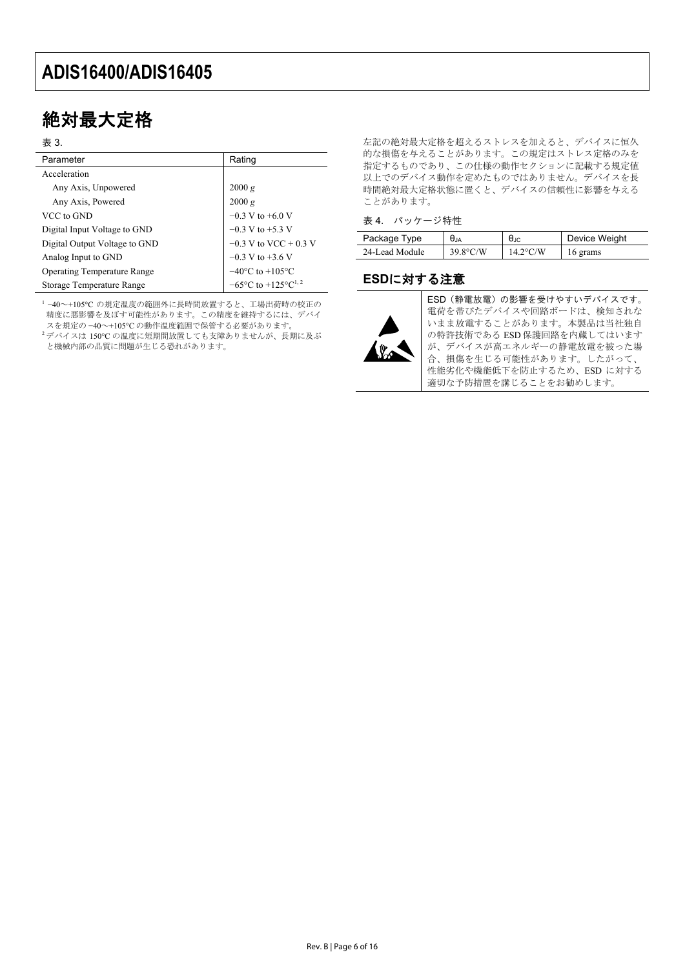## 絶対最大定格

#### 表 3.

| Parameter                          | Rating                                              |
|------------------------------------|-----------------------------------------------------|
| Acceleration                       |                                                     |
| Any Axis, Unpowered                | 2000 g                                              |
| Any Axis, Powered                  | 2000 g                                              |
| VCC to GND                         | $-0.3$ V to $+6.0$ V                                |
| Digital Input Voltage to GND       | $-0.3$ V to $+5.3$ V                                |
| Digital Output Voltage to GND      | $-0.3$ V to VCC + 0.3 V                             |
| Analog Input to GND                | $-0.3$ V to $+3.6$ V                                |
| <b>Operating Temperature Range</b> | $-40^{\circ}$ C to $+105^{\circ}$ C                 |
| Storage Temperature Range          | $-65^{\circ}$ C to $+125^{\circ}$ C <sup>1, 2</sup> |

<sup>1</sup>−40~+105°C の規定温度の範囲外に長時間放置すると、工場出荷時の校正の 精度に悪影響を及ぼす可能性があります。この精度を維持するには、デバイ スを規定の −40~+105°C の動作温度範囲で保管する必要があります。

<sup>2</sup>デバイスは 150℃ の温度に短期間放置しても支障ありませんが、長期に及ぶ と機械内部の品質に問題が生じる恐れがあります。

左記の絶対最大定格を超えるストレスを加えると、デバイスに恒久 的な損傷を与えることがあります。この規定はストレス定格のみを 指定するものであり、この仕様の動作セクションに記載する規定値 以上でのデバイス動作を定めたものではありません。デバイスを長 時間絶対最大定格状態に置くと、デバイスの信頼性に影響を与える ことがあります。

#### 表 4. パッケージ特性

| Package Type   | $\bm{\theta}_{\mathsf{JA}}$ | $\sigma_{\rm JC}$  | Device Weight |
|----------------|-----------------------------|--------------------|---------------|
| 24-Lead Module | $39.8^{\circ}$ C/W          | $14.2^{\circ}$ C/W | 16 grams      |

### **ESD**に対する注意



ESD(静電放電)の影響を受けやすいデバイスです。 電荷を帯びたデバイスや回路ボードは、検知されな いまま放電することがあります。本製品は当社独自 の特許技術である ESD 保護回路を内蔵してはいます が、デバイスが高エネルギーの静電放電を被った場 合、損傷を生じる可能性があります。したがって、 性能劣化や機能低下を防止するため、ESD に対する 適切な予防措置を講じることをお勧めします。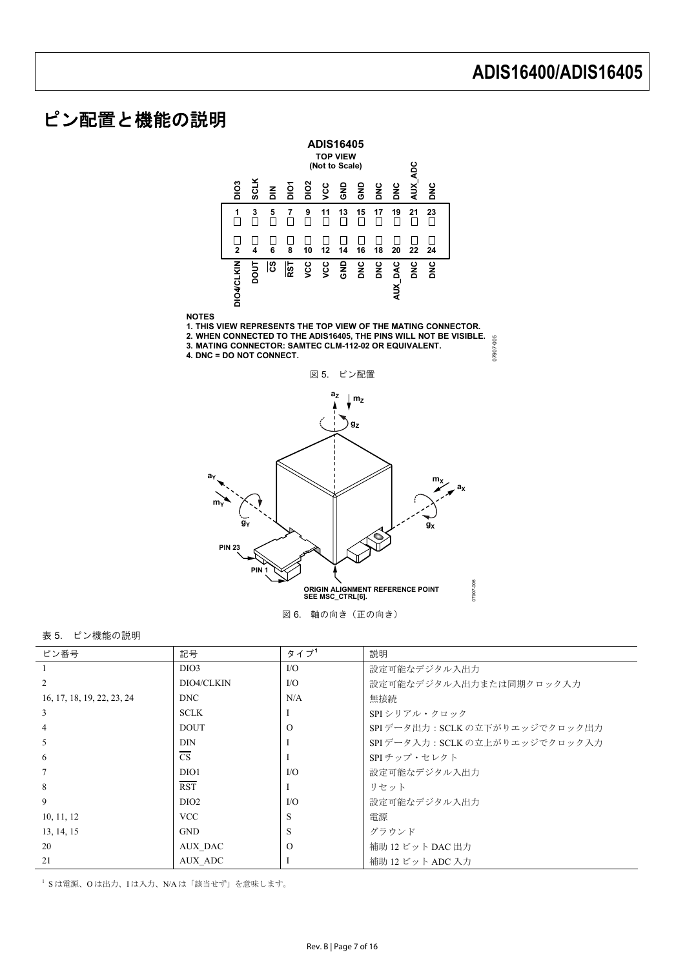## ピン配置と機能の説明



#### 表 5. ピン機能の説明

| ピン番号                       | 記号                      | タイプ      | 説明                             |
|----------------------------|-------------------------|----------|--------------------------------|
|                            | DIO <sub>3</sub>        | $\rm LO$ | 設定可能なデジタル入出力                   |
| 2                          | DIO4/CLKIN              | $VO$     | 設定可能なデジタル入出力または同期クロック入力        |
| 16, 17, 18, 19, 22, 23, 24 | <b>DNC</b>              | N/A      | 無接続                            |
| 3                          | <b>SCLK</b>             |          | SPI シリアル・クロック                  |
| $\overline{4}$             | <b>DOUT</b>             | $\Omega$ | SPIデータ出力: SCLK の立下がりエッジでクロック出力 |
| 5                          | <b>DIN</b>              |          | SPIデータ入力: SCLK の立上がりエッジでクロック入力 |
| -6                         | <b>CS</b>               |          | SPI チップ・セレクト                   |
| $\tau$                     | DIO1                    | $\rm LO$ | 設定可能なデジタル入出力                   |
| 8                          | $\overline{\text{RST}}$ |          | リセット                           |
| 9                          | DIO <sub>2</sub>        | $\rm LO$ | 設定可能なデジタル入出力                   |
| 10, 11, 12                 | <b>VCC</b>              | S        | 雷源                             |
| 13, 14, 15                 | <b>GND</b>              | S        | グラウンド                          |
| 20                         | AUX DAC                 | $\Omega$ | 補助 12 ビット DAC 出力               |
| 21                         | AUX ADC                 |          | 補助 12 ビット ADC 入力               |

<span id="page-6-0"></span>1 S は電源、O は出力、I は入力、N/A は「該当せず」を意味します。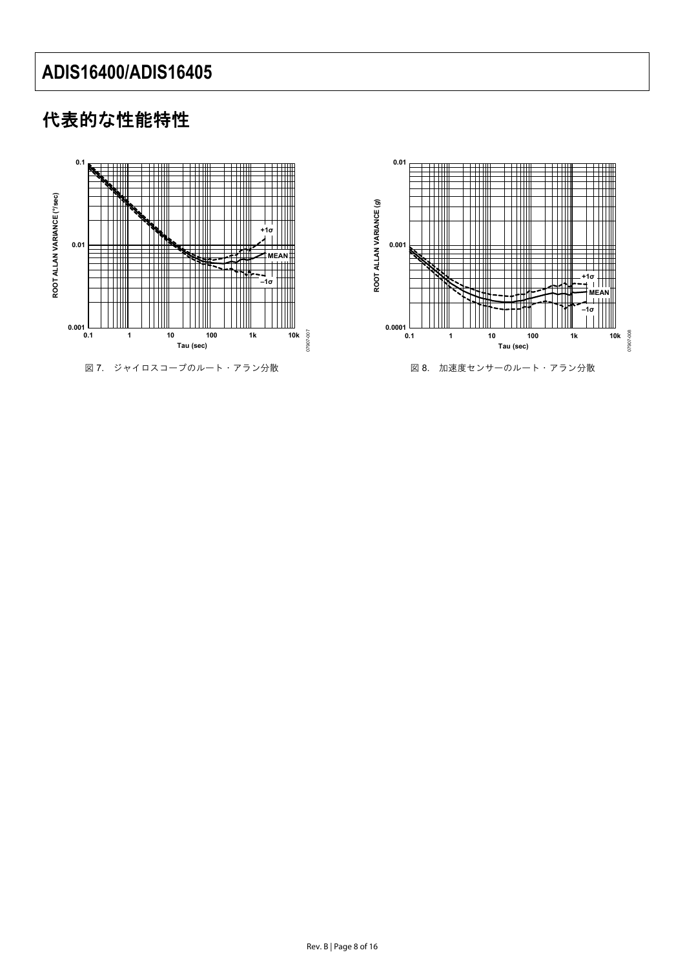## 代表的な性能特性



図 7. ジャイロスコープのルート・アラン分散



図 8. 加速度センサーのルート・アラン分散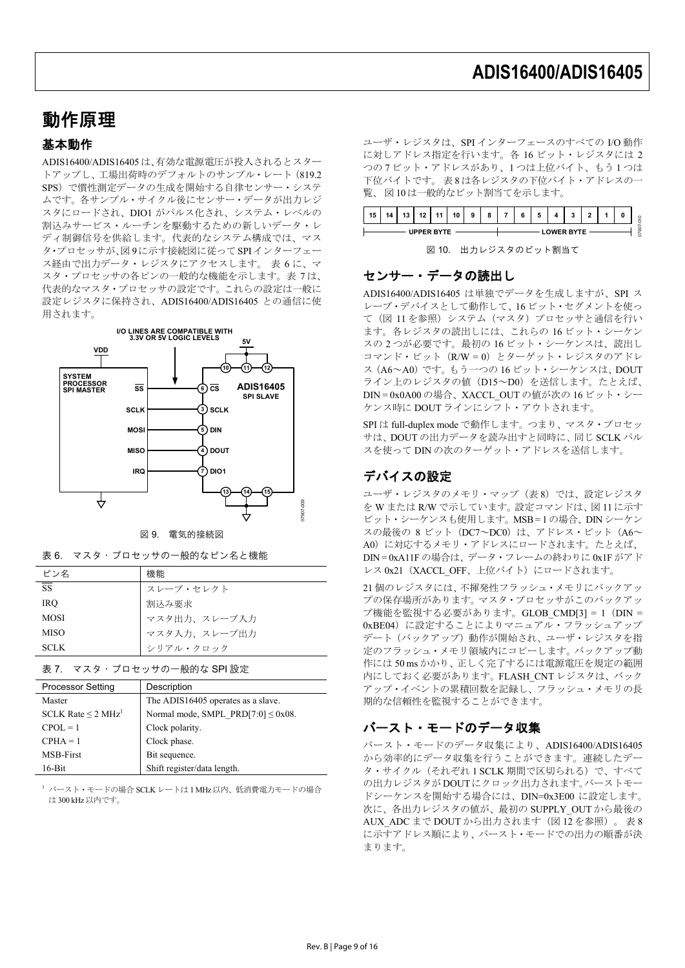## 動作原理

### 基本動作

ADIS16400/ADIS16405は、有効な電源電圧が投入されるとスター トアップし、工場出荷時のデフォルトのサンプル・レート(819.2 SPS)で慣性測定データの生成を開始する自律センサー・システ ムです。各サンプル・サイクル後にセンサー・データが出力レジ スタにロードされ、DIO1 がパルス化され、システム・レベルの 割込みサービス・ルーチンを駆動するための新しいデータ・レ ディ制御信号を供給します。代表的なシステム構成では、マス タ・プロセッサが、図 9に示す接続図に従ってSPIインターフェー ス経由で出力データ・レジスタにアクセスします。 表 6 に、マ スタ・プロセッサの各ピンの一般的な機能を示します。表 7 は、 代表的なマスタ・プロセッサの設定です。これらの設定は一般に 設定レジスタに保持され、ADIS16400/ADIS16405 との通信に使 用されます。



図 9. 電気的接続図

| 表 6. マスタ・プロセッサの一般的なピン名と機能 |  |
|---------------------------|--|
|---------------------------|--|

| ピン名         | 機能           |
|-------------|--------------|
| <b>SS</b>   | スレーブ・セレクト    |
| <b>IRO</b>  | 割込み要求        |
| <b>MOSI</b> | マスタ出力、スレーブ入力 |
| <b>MISO</b> | マスタ入力、スレーブ出力 |
| <b>SCLK</b> | シリアル・クロック    |

表 7. マスタ・プロセッサの一般的な SPI 設定

| <b>Processor Setting</b>            | Description                             |
|-------------------------------------|-----------------------------------------|
| Master                              | The ADIS16405 operates as a slave.      |
| SCLK Rate $\leq$ 2 MHz <sup>1</sup> | Normal mode, SMPL PRD[7:0] $\leq$ 0x08. |
| $CPOL = 1$                          | Clock polarity.                         |
| $CPHA = 1$                          | Clock phase.                            |
| <b>MSB-First</b>                    | Bit sequence.                           |
| $16 - Bit$                          | Shift register/data length.             |

<sup>1</sup> バースト・モードの場合 SCLK レートは 1 MHz 以内、低消費電力モードの場合 は 300 kHz以内です。

ユーザ・レジスタは、SPI インターフェースのすべての I/O 動作 に対しアドレス指定を行います。各 16 ビット・レジスタには 2 つの 7 ビット・アドレスがあり、1 つは上位バイト、もう 1 つは 下位バイトです。 表 8 は各レジスタの下位バイト・アドレスの一 覧、 図 10 は一般的なビット割当てを示します。



図 10. 出力レジスタのビット割当て

### センサー・データの読出し

ADIS16400/ADIS16405 は単独でデータを生成しますが、SPI ス レーブ・デバイスとして動作して、16 ビット・セグメントを使っ て(図 11 を参照)システム(マスタ)プロセッサと通信を行い ます。各レジスタの読出しには、これらの 16 ビット・シーケン スの 2 つが必要です。最初の 16 ビット・シーケンスは、読出し コマンド・ビット (R/W = 0) とターゲット・レジスタのアドレ ス(A6~A0)です。もう一つの 16 ビット・シーケンスは、DOUT ライン上のレジスタの値 (D15~D0)を送信します。たとえば、 DIN = 0x0A00 の場合、XACCL\_OUT の値が次の 16 ビット・シー ケンス時に DOUT ラインにシフト・アウトされます。

SPI は full-duplex mode で動作します。つまり、マスタ・プロセッ サは、DOUT の出力データを読み出すと同時に、同じ SCLK パル スを使って DIN の次のターゲット・アドレスを送信します。

### デバイスの設定

ユーザ・レジスタのメモリ・マップ (表8)では、設定レジスタ を W または R/W で示しています。設定コマンドは、図 11 に示す ビット・シーケンスも使用します。MSB = 1 の場合、DIN シーケン スの最後の 8 ビット (DC7~DC0) は、アドレス・ビット (A6~ A0)に対応するメモリ・アドレスにロードされます。たとえば、 DIN = 0xA11F の場合は、データ・フレームの終わりに 0x1F がアド レス 0x21 (XACCL\_OFF、上位バイト)にロードされます。

21 個のレジスタには、不揮発性フラッシュ・メモリにバックアッ プの保存場所があります。マスタ・プロセッサがこのバックアッ プ機能を監視する必要があります。GLOB\_CMD[3] = 1(DIN = 0xBE04)に設定することによりマニュアル・フラッシュアップ デート(バックアップ)動作が開始され、ユーザ・レジスタを指 定のフラッシュ・メモリ領域内にコピーします。バックアップ動 作には 50 ms かかり、正しく完了するには電源電圧を規定の範囲 内にしておく必要があります。FLASH\_CNT レジスタは、バック アップ・イベントの累積回数を記録し、フラッシュ・メモリの長 期的な信頼性を監視することができます。

### バースト・モードのデータ収集

バースト・モードのデータ収集により、ADIS16400/ADIS16405 から効率的にデータ収集を行うことができます。連続したデー タ・サイクル(それぞれ 1 SCLK 期間で区切られる)で、すべて の出力レジスタが DOUTにクロック出力されます。バーストモー ドシーケンスを開始する場合には、DIN=0x3E00 に設定します。 次に、各出力レジスタの値が、最初の SUPPLY\_OUT から最後の AUX ADC まで DOUT から出力されます(図 12 を参照)。表 8 に示すアドレス順により、バースト・モードでの出力の順番が決 まります。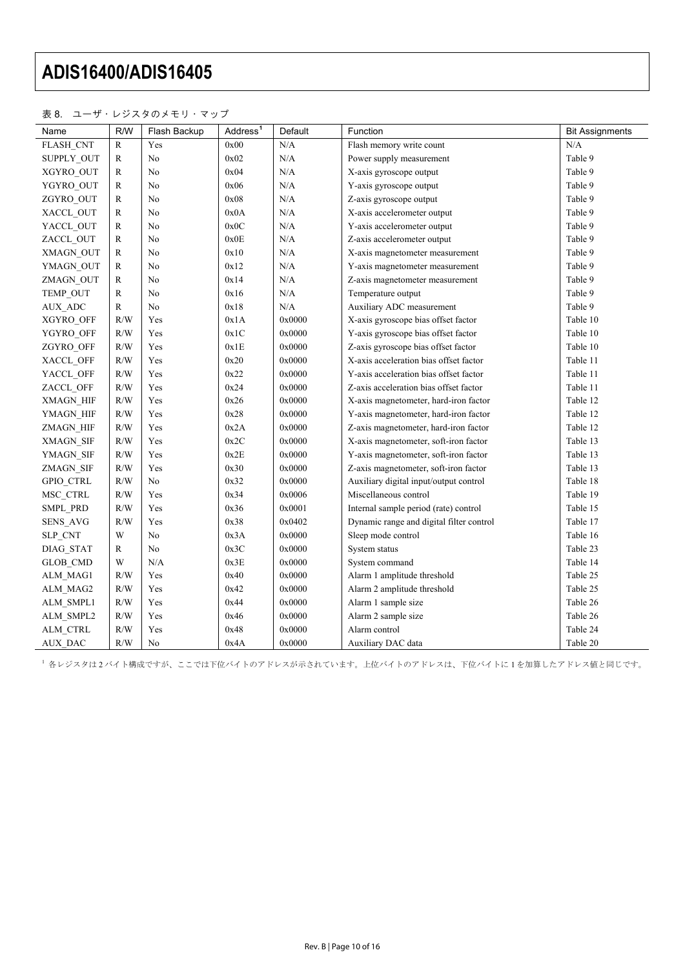#### 表 8. ユーザ・レジスタのメモリ・マップ

| Name             | R/W       | Flash Backup   | Address <sup>1</sup> | Default   | Function                                 | <b>Bit Assignments</b> |
|------------------|-----------|----------------|----------------------|-----------|------------------------------------------|------------------------|
| FLASH_CNT        | R         | Yes            | 0x00                 | N/A       | Flash memory write count                 | N/A                    |
| SUPPLY_OUT       | R         | $\rm No$       | 0x02                 | N/A       | Power supply measurement                 | Table 9                |
| XGYRO_OUT        | R         | No             | 0x04                 | N/A       | X-axis gyroscope output                  | Table 9                |
| YGYRO OUT        | R         | No             | 0x06                 | $\rm N/A$ | Y-axis gyroscope output                  | Table 9                |
| ZGYRO OUT        | R         | No             | 0x08                 | $\rm N/A$ | Z-axis gyroscope output                  | Table 9                |
| XACCL OUT        | ${\bf R}$ | No             | $0x0A$               | $\rm N/A$ | X-axis accelerometer output              | Table 9                |
| YACCL_OUT        | R         | No             | $0x0C$               | $\rm N/A$ | Y-axis accelerometer output              | Table 9                |
| ZACCL_OUT        | R         | No             | 0x0E                 | $\rm N/A$ | Z-axis accelerometer output              | Table 9                |
| XMAGN_OUT        | R         | No             | 0x10                 | $\rm N/A$ | X-axis magnetometer measurement          | Table 9                |
| YMAGN OUT        | R         | No             | 0x12                 | $\rm N/A$ | Y-axis magnetometer measurement          | Table 9                |
| ZMAGN_OUT        | R         | No             | 0x14                 | $\rm N/A$ | Z-axis magnetometer measurement          | Table 9                |
| TEMP_OUT         | R         | No             | 0x16                 | N/A       | Temperature output                       | Table 9                |
| AUX ADC          | ${\bf R}$ | No             | 0x18                 | $\rm N/A$ | Auxiliary ADC measurement                | Table 9                |
| XGYRO OFF        | R/W       | Yes            | 0x1A                 | 0x0000    | X-axis gyroscope bias offset factor      | Table 10               |
| YGYRO OFF        | R/W       | Yes            | $0x1C$               | 0x0000    | Y-axis gyroscope bias offset factor      | Table 10               |
| ZGYRO OFF        | R/W       | Yes            | 0x1E                 | 0x0000    | Z-axis gyroscope bias offset factor      | Table 10               |
| XACCL OFF        | R/W       | Yes            | 0x20                 | 0x0000    | X-axis acceleration bias offset factor   | Table 11               |
| YACCL OFF        | R/W       | Yes            | 0x22                 | 0x0000    | Y-axis acceleration bias offset factor   | Table 11               |
| ZACCL OFF        | R/W       | Yes            | 0x24                 | 0x0000    | Z-axis acceleration bias offset factor   | Table 11               |
| XMAGN HIF        | R/W       | Yes            | 0x26                 | 0x0000    | X-axis magnetometer, hard-iron factor    | Table 12               |
| YMAGN HIF        | R/W       | Yes            | 0x28                 | 0x0000    | Y-axis magnetometer, hard-iron factor    | Table 12               |
| ZMAGN HIF        | R/W       | Yes            | 0x2A                 | 0x0000    | Z-axis magnetometer, hard-iron factor    | Table 12               |
| XMAGN SIF        | R/W       | Yes            | 0x2C                 | 0x0000    | X-axis magnetometer, soft-iron factor    | Table 13               |
| YMAGN SIF        | R/W       | Yes            | 0x2E                 | 0x0000    | Y-axis magnetometer, soft-iron factor    | Table 13               |
| <b>ZMAGN SIF</b> | R/W       | Yes            | 0x30                 | 0x0000    | Z-axis magnetometer, soft-iron factor    | Table 13               |
| <b>GPIO CTRL</b> | R/W       | N <sub>o</sub> | 0x32                 | 0x0000    | Auxiliary digital input/output control   | Table 18               |
| MSC CTRL         | R/W       | Yes            | 0x34                 | 0x0006    | Miscellaneous control                    | Table 19               |
| SMPL PRD         | R/W       | Yes            | 0x36                 | 0x0001    | Internal sample period (rate) control    | Table 15               |
| <b>SENS AVG</b>  | R/W       | Yes            | 0x38                 | 0x0402    | Dynamic range and digital filter control | Table 17               |
| SLP_CNT          | W         | No             | 0x3A                 | 0x0000    | Sleep mode control                       | Table 16               |
| <b>DIAG STAT</b> | R         | No             | 0x3C                 | 0x0000    | System status                            | Table 23               |
| <b>GLOB CMD</b>  | W         | N/A            | 0x3E                 | 0x0000    | System command                           | Table 14               |
| ALM MAG1         | R/W       | Yes            | 0x40                 | 0x0000    | Alarm 1 amplitude threshold              | Table 25               |
| ALM MAG2         | R/W       | Yes            | 0x42                 | 0x0000    | Alarm 2 amplitude threshold              | Table 25               |
| ALM SMPL1        | R/W       | Yes            | 0x44                 | 0x0000    | Alarm 1 sample size                      | Table 26               |
| ALM SMPL2        | R/W       | Yes            | 0x46                 | 0x0000    | Alarm 2 sample size                      | Table 26               |
| ALM CTRL         | R/W       | Yes            | 0x48                 | 0x0000    | Alarm control                            | Table 24               |
| <b>AUX DAC</b>   | R/W       | No             | 0x4A                 | 0x0000    | Auxiliary DAC data                       | Table 20               |

<span id="page-9-0"></span>1 各レジスタは2バイト構成ですが、ここでは下位バイトのアドレスが示されています。上位バイトのアドレスは、下位バイトに1を加算したアドレス値と同じです。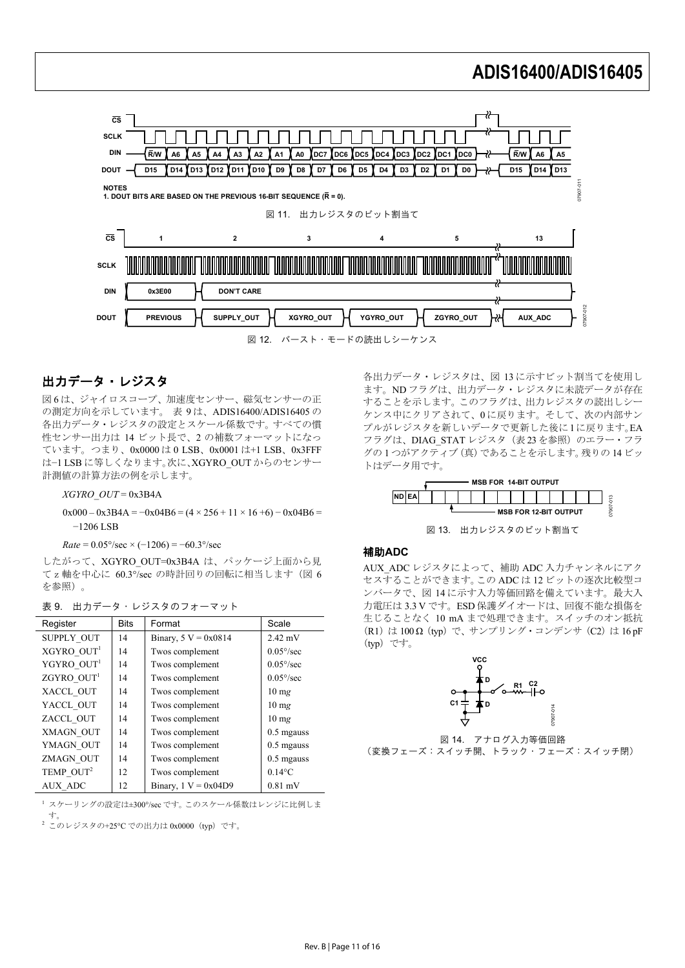

### 出力データ・レジスタ

図6は、ジャイロスコープ、加速度センサー、磁気センサーの正 の測定方向を示しています。 表 9 は、ADIS16400/ADIS16405 の 各出力データ・レジスタの設定とスケール係数です。すべての慣 性センサー出力は 14 ビット長で、2 の補数フォーマットになっ ています。つまり、0x0000 は 0 LSB、0x0001 は+1 LSB、0x3FFF は−1 LSB に等しくなります。次に、XGYRO\_OUT からのセンサー 計測値の計算方法の例を示します。

*XGYRO\_OUT* = 0x3B4A

#### $0x000 - 0x3B4A = -0x04B6 = (4 \times 256 + 11 \times 16 + 6) - 0x04B6 =$ −1206 LSB

 $Rate = 0.05\degree/sec \times (-1206) = -60.3\degree/sec$ 

したがって、XGYRO\_OUT=0x3B4A は、パッケージ上面から見 てz軸を中心に 60.3°/sec の時計回りの回転に相当します(図 6 を参照)。

| Register               | <b>Bits</b> | Format                 | Scale           |
|------------------------|-------------|------------------------|-----------------|
| <b>SUPPLY OUT</b>      | 14          | Binary, $5 V = 0x0814$ | $2.42$ mV       |
| XGYRO OUT <sup>1</sup> | 14          | Twos complement        | $0.05\%$ sec    |
| YGYRO OUT <sup>1</sup> | 14          | Twos complement        | $0.05\%$ sec    |
| $ZGYRO$ $OUT1$         | 14          | Twos complement        | $0.05\%$ sec    |
| XACCL OUT              | 14          | Twos complement        | $10 \text{ mg}$ |
| YACCL OUT              | 14          | Twos complement        | $10 \text{ mg}$ |
| ZACCL OUT              | 14          | Twos complement        | $10 \text{ mg}$ |
| XMAGN OUT              | 14          | Twos complement        | $0.5$ mgauss    |
| YMAGN OUT              | 14          | Twos complement        | $0.5$ mgauss    |
| ZMAGN OUT              | 14          | Twos complement        | $0.5$ mgauss    |
| TEMP OUT <sup>2</sup>  | 12          | Twos complement        | $0.14$ °C       |
| <b>AUX ADC</b>         | 12          | Binary, $1 V = 0x04D9$ | $0.81$ mV       |

|  |  |  | 表 9. 出力データ・レジスタのフォーマット |
|--|--|--|------------------------|
|--|--|--|------------------------|

<sup>1</sup> スケーリングの設定は±300°/sec です。このスケール係数はレンジに比例しま

す。 <sup>2</sup> このレジスタの+25℃での出力は 0x0000(typ)です。 各出力データ・レジスタは、図 13 に示すビット割当てを使用し ます。ND フラグは、出力データ・レジスタに未読データが存在 することを示します。このフラグは、出力レジスタの読出しシー ケンス中にクリアされて、0 に戻ります。そして、次の内部サン プルがレジスタを新しいデータで更新した後に1に戻ります。EA フラグは、DIAG STAT レジスタ (表 23 を参照)のエラー・フラ グの 1 つがアクティブ(真)であることを示します。残りの 14 ビッ トはデータ用です。



図 13. 出力レジスタのビット割当て

#### 補助**ADC**

AUX\_ADC レジスタによって、補助 ADC 入力チャンネルにアク セスすることができます。この ADC は 12 ビットの逐次比較型コ ンバータで、図 14 に示す入力等価回路を備えています。最大入 力電圧は 3.3 V です。ESD 保護ダイオードは、回復不能な損傷を 生じることなく 10 mA まで処理できます。スイッチのオン抵抗 (R1) は 100 Ω (typ) で、サンプリング・コンデンサ (C2) は 16 pF (typ)です。



図 14. アナログ入力等価回路 (変換フェーズ:スイッチ開、トラック・フェーズ:スイッチ閉)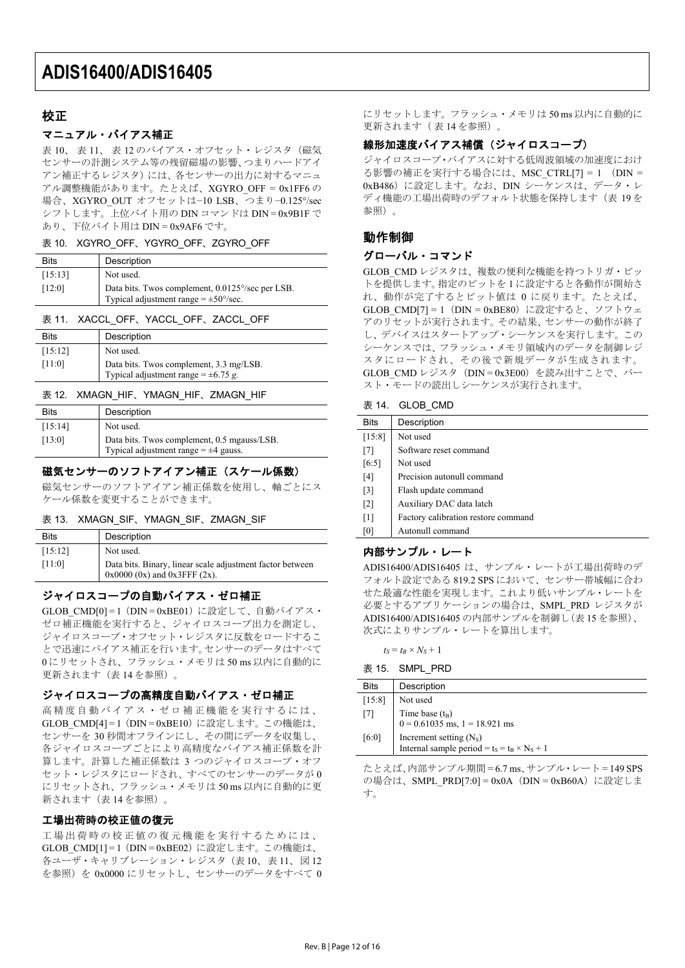### 校正

#### マニュアル・バイアス補正

表 10、表 11、表 12のバイアス・オフセット・レジスタ(磁気 センサーの計測システム等の残留磁場の影響、つまりハードアイ アン補正するレジスタ)には、各センサーの出力に対するマニュ アル調整機能があります。たとえば、XGYRO\_OFF = 0x1FF6 の 場合、XGYRO\_OUT オフセットは−10 LSB、つまり−0.125°/sec シフトします。上位バイト用の DIN コマンドは DIN = 0x9B1F で あり、下位バイト用は DIN = 0x9AF6 です。

#### 表 10. XGYRO\_OFF、YGYRO\_OFF、ZGYRO\_OFF

| <b>Bits</b> | Description                                                                                                  |
|-------------|--------------------------------------------------------------------------------------------------------------|
| [15:13]     | Not used.                                                                                                    |
| [12:0]      | Data bits. Twos complement, 0.0125°/sec per LSB.<br>Typical adjustment range $= \pm 50^{\circ}/\text{sec}$ . |

#### 表 11. XACCL OFF、YACCL OFF、ZACCL OFF

| <b>Bits</b> | Description                                                                         |
|-------------|-------------------------------------------------------------------------------------|
| [15:12]     | Not used.                                                                           |
| [11:0]      | Data bits. Twos complement, 3.3 mg/LSB.<br>Typical adjustment range = $\pm$ 6.75 g. |

#### 表 12. XMAGN\_HIF、YMAGN\_HIF、ZMAGN\_HIF

| <b>Bits</b> | Description                                                                              |
|-------------|------------------------------------------------------------------------------------------|
| [15:14]     | Not used.                                                                                |
| [13:0]      | Data bits. Twos complement, 0.5 mgauss/LSB.<br>Typical adjustment range $= \pm 4$ gauss. |

#### 磁気センサーのソフトアイアン補正 (スケール係数)

磁気センサーのソフトアイアン補正係数を使用し、軸ごとにス ケール係数を変更することができます。

#### 表 13. XMAGN\_SIF、YMAGN\_SIF、ZMAGN\_SIF

| <b>Bits</b> | Description                                               |
|-------------|-----------------------------------------------------------|
| [15:12]     | Not used.                                                 |
| $[11:0]$    | Data bits. Binary, linear scale adjustment factor between |
|             | $0x0000$ (0x) and $0x3$ FFF (2x).                         |

#### ジャイロスコープの自動バイアス・ゼロ補正

GLOB CMD[0] = 1 (DIN = 0xBE01) に設定して、自動バイアス・ ゼロ補正機能を実行すると、ジャイロスコープ出力を測定し、 ジャイロスコープ・オフセット・レジスタに反数をロードするこ とで迅速にバイアス補正を行います。センサーのデータはすべて 0 にリセットされ、フラッシュ・メモリは 50 ms 以内に自動的に 更新されます(表 14 を参照)。

#### ジャイロスコープの高精度自動バイアス・ゼロ補正

高精度自動バイアス・ゼロ補正機能を実行するには、 GLOB CMD[4] = 1 (DIN = 0xBE10)に設定します。この機能は、 センサーを 30 秒間オフラインにし、その間にデータを収集し、 各ジャイロスコープごとにより高精度なバイアス補正係数を計 算します。計算した補正係数は 3 つのジャイロスコープ・オフ セット・レジスタにロードされ、すべてのセンサーのデータが 0 にリセットされ、フラッシュ・メモリは 50 ms 以内に自動的に更 新されます (表 14 を参照)

#### 工場出荷時の校正値の復元

工場出荷時の校正値の復元機能を実行するためには、 GLOB CMD[1] = 1 (DIN = 0xBE02)に設定します。この機能は、 各ユーザ・キャリブレーション・レジスタ(表 10、表 11、図 12 を参照)を 0x0000 にリセットし、センサーのデータをすべて 0 にリセットします。フラッシュ・メモリは 50 ms 以内に自動的に 更新されます( 表 14 を参照)。

#### 線形加速度バイアス補償(ジャイロスコープ)

ジャイロスコープ・バイアスに対する低周波領域の加速度におけ る影響の補正を実行する場合には、MSC\_CTRL[7] = 1 (DIN = 0xB486)に設定します。なお、DIN シーケンスは、データ・レ ディ機能の工場出荷時のデフォルト状態を保持します(表 19を 参照)。

### 動作制御

#### グローバル・コマンド

GLOB CMD レジスタは、複数の便利な機能を持つトリガ・ビッ トを提供します。指定のビットを 1 に設定すると各動作が開始さ れ、動作が完了するとビット値は 0 に戻ります。たとえば、 GLOB CMD[7] = 1 (DIN = 0xBE80)に設定すると、ソフトウェ アのリセットが実行されます。その結果、センサーの動作が終了 し、デバイスはスタートアップ・シーケンスを実行します。この シーケンスでは、フラッシュ・メモリ領域内のデータを制御レジ スタにロードされ、その後で新規データが生成されます。 GLOB CMD レジスタ (DIN = 0x3E00) を読み出すことで、バー スト・モードの読出しシーケンスが実行されます。

#### 表 14. GLOB\_CMD

| <b>Bits</b>       | Description                         |
|-------------------|-------------------------------------|
| [15:8]            | Not used                            |
| $[7]$             | Software reset command              |
| [6:5]             | Not used                            |
| [4]               | Precision autonull command          |
| $\lceil 3 \rceil$ | Flash update command                |
| $\lceil 2 \rceil$ | Auxiliary DAC data latch            |
| $\lceil 1 \rceil$ | Factory calibration restore command |
| [0]               | Autonull command                    |

#### 内部サンプル・レート

ADIS16400/ADIS16405 は、サンプル・レートが工場出荷時のデ フォルト設定である 819.2 SPS において、センサー帯域幅に合わ せた最適な性能を実現します。これより低いサンプル・レートを 必要とするアプリケーションの場合は、SMPL\_PRD レジスタが ADIS16400/ADIS16405 の内部サンプルを制御し(表 15 を参照)、 次式によりサンプル・レートを算出します。

 $t_S = t_B \times N_S + 1$ 

| 表 15. | SMPL PRD |  |
|-------|----------|--|
|       |          |  |

| <b>Bits</b> | Description                                                                                |
|-------------|--------------------------------------------------------------------------------------------|
| [15:8]      | Not used                                                                                   |
| $[7]$       | Time base $(t_B)$<br>0 = 0.61035 ms, 1 = 18.921 ms                                         |
| [6:0]       | Increment setting (N <sub>S</sub> )<br>Internal sample period = $t_s = t_B \times N_s + 1$ |

たとえば、内部サンプル期間 = 6.7 ms、サンプル・レート = 149 SPS の場合は、SMPL\_PRD[7:0] = 0x0A (DIN = 0xB60A)に設定しま す。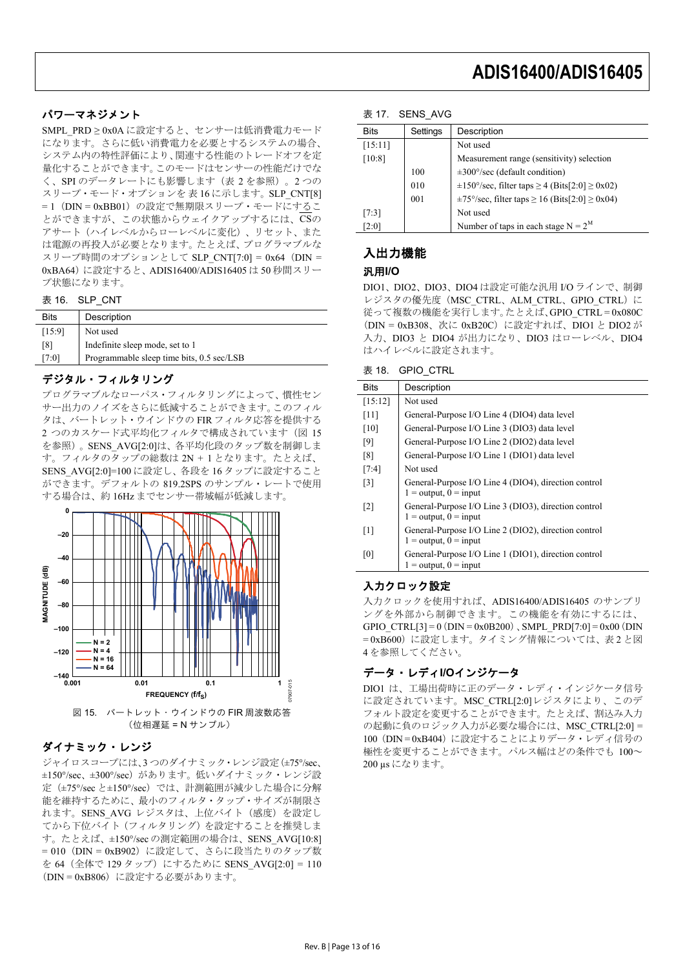### パワーマネジメント

SMPL PRD ≥ 0x0A に設定すると、センサーは低消費電力モード になります。さらに低い消費電力を必要とするシステムの場合、 システム内の特性評価により、関連する性能のトレードオフを定 量化することができます。このモードはセンサーの性能だけでな く、SPI のデータレートにも影響します(表 2 を参照)。2 つの スリープ·モード·オプションを表16に示します。SLP\_CNT[8] = 1 (DIN = 0xBB01) の設定で無期限スリープ・モードにするこ とができますが、この状態からウェイクアップするには、CSの アサート(ハイレベルからローレベルに変化)、リセット、また は電源の再投入が必要となります。たとえば、プログラマブルな スリープ時間のオプションとして SLP\_CNT[7:0] = 0x64 (DIN = 0xBA64)に設定すると、ADIS16400/ADIS16405 は 50 秒間スリー プ状態になります。

表 16. SLP CNT

| [15:9]<br>Not used                                 |  |
|----------------------------------------------------|--|
|                                                    |  |
| Indefinite sleep mode, set to 1<br>[8]             |  |
| Programmable sleep time bits, 0.5 sec/LSB<br>[7:0] |  |

#### デジタル・フィルタリング

プログラマブルなローパス・フィルタリングによって、慣性セン サー出力のノイズをさらに低減することができます。このフィル タは、バートレット・ウインドウの FIR フィルタ応答を提供する 2 つのカスケード式平均化フィルタで構成されています(図 15 を参照)。SENS\_AVG[2:0]は、各平均化段のタップ数を制御しま す。フィルタのタップの総数は 2N + 1 となります。たとえば、 SENS\_AVG[2:0]=100 に設定し、各段を 16 タップに設定すること ができます。デフォルトの 819.2SPS のサンプル・レートで使用 する場合は、約 16Hz までセンサー帯域幅が低減します。



(位相遅延 = N サンプル)

### ダイナミック・レンジ

ジャイロスコープには、3 つのダイナミック・レンジ設定(±75°/sec、 ±150°/sec、±300°/sec)があります。低いダイナミック・レンジ設 定(±75°/sec と±150°/sec)では、計測範囲が減少した場合に分解 能を維持するために、最小のフィルタ・タップ・サイズが制限さ れます。SENS AVG レジスタは、上位バイト(感度)を設定し てから下位バイト(フィルタリング)を設定することを推奨しま す。たとえば、±150°/sec の測定範囲の場合は、SENS\_AVG[10:8] = 010 (DIN = 0xB902) に設定して、さらに段当たりのタップ数 を 64 (全体で 129 タップ) にするために SENS\_AVG[2:0] = 110 (DIN = 0xB806) に設定する必要があります。

#### 表 17. SENS AVG

| <b>Bits</b> | Settings | Description                                                                  |
|-------------|----------|------------------------------------------------------------------------------|
| [15:11]     |          | Not used                                                                     |
| [10:8]      |          | Measurement range (sensitivity) selection                                    |
|             | 100      | $\pm 300^{\circ}/\text{sec}$ (default condition)                             |
|             | 010      | $\pm 150^{\circ}/\text{sec}$ , filter taps $\geq 4$ (Bits[2:0] $\geq 0x02$ ) |
|             | 001      | $\pm 75^{\circ}/\text{sec}$ , filter taps $\geq 16$ (Bits[2:0] $\geq 0x04$ ) |
| [7:3]       |          | Not used                                                                     |
| [2:0]       |          | Number of taps in each stage $N = 2^M$                                       |
|             |          |                                                                              |

### 入出力機能

#### 汎用**I/O**

DIO1、DIO2、DIO3、DIO4 は設定可能な汎用 I/O ラインで、制御 レジスタの優先度(MSC\_CTRL、ALM\_CTRL、GPIO\_CTRL)に 従って複数の機能を実行します。たとえば、GPIO\_CTRL = 0x080C (DIN = 0xB308、次に 0xB20C)に設定すれば、DIO1 と DIO2 が 入力、DIO3 と DIO4 が出力になり、DIO3 はローレベル、DIO4 はハイレベルに設定されます。

| 表 18. | <b>GPIO CTRL</b> |  |
|-------|------------------|--|
|       |                  |  |

| <b>Bits</b>       | Description                                                                       |
|-------------------|-----------------------------------------------------------------------------------|
| [15:12]           | Not used                                                                          |
| [11]              | General-Purpose I/O Line 4 (DIO4) data level                                      |
| [10]              | General-Purpose I/O Line 3 (DIO3) data level                                      |
| [9]               | General-Purpose I/O Line 2 (DIO2) data level                                      |
| [8]               | General-Purpose I/O Line 1 (DIO1) data level                                      |
| [7:4]             | Not used                                                                          |
| $\lceil 3 \rceil$ | General-Purpose I/O Line 4 (DIO4), direction control<br>$1 =$ output, $0 =$ input |
| $\lceil 2 \rceil$ | General-Purpose I/O Line 3 (DIO3), direction control<br>$1 =$ output, $0 =$ input |
| $\lceil 1 \rceil$ | General-Purpose I/O Line 2 (DIO2), direction control<br>$1 =$ output, $0 =$ input |
| [0]               | General-Purpose I/O Line 1 (DIO1), direction control<br>$1 =$ output, $0 =$ input |

#### 入力クロック設定

入力クロックを使用すれば、ADIS16400/ADIS16405 のサンプリ ングを外部から制御できます。この機能を有効にするには、 GPIO\_CTRL[3] =  $0(DIN = 0x0B200)$ , SMPL\_PRD[7:0] = 0x00 (DIN = 0xB600)に設定します。タイミング情報については、表 2 と図 4 を参照してください。

### データ・レディ**I/O**インジケータ

DIO1 は、工場出荷時に正のデータ・レディ・インジケータ信号 に設定されています。MSC\_CTRL[2:0]レジスタにより、このデ フォルト設定を変更することができます。たとえば、割込み入力 の起動に負のロジック入力が必要な場合には、MSC\_CTRL[2:0] = 100 (DIN = 0xB404) に設定することによりデータ・レディ信号の 極性を変更することができます。パルス幅はどの条件でも 100~ 200 µs になります。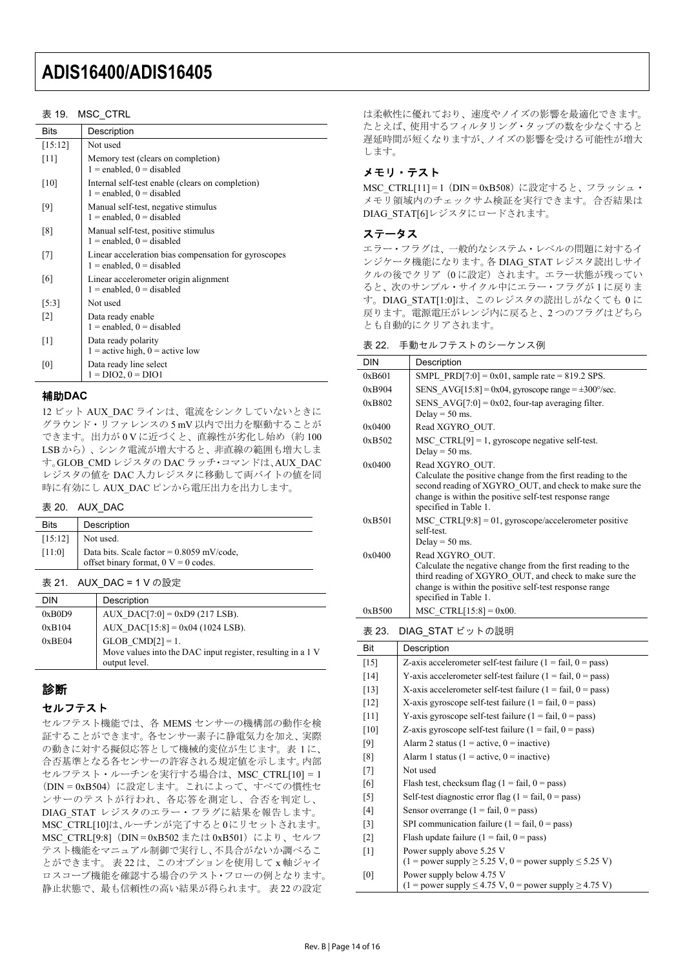#### 表 19. MSC CTRL

| Bits    | Description                                                                           |  |  |
|---------|---------------------------------------------------------------------------------------|--|--|
| [15:12] | Not used                                                                              |  |  |
| $[11]$  | Memory test (clears on completion)<br>$1 =$ enabled, $0 =$ disabled                   |  |  |
| $[10]$  | Internal self-test enable (clears on completion)<br>$1 =$ enabled, $0 =$ disabled     |  |  |
| [9]     | Manual self-test, negative stimulus<br>$1 =$ enabled, $0 =$ disabled                  |  |  |
| [8]     | Manual self-test, positive stimulus<br>$1 =$ enabled, $0 =$ disabled                  |  |  |
| $[7]$   | Linear acceleration bias compensation for gyroscopes<br>$1 =$ enabled, $0 =$ disabled |  |  |
| 6       | Linear accelerometer origin alignment<br>$1 =$ enabled, $0 =$ disabled                |  |  |
| [5:3]   | Not used                                                                              |  |  |
| [2]     | Data ready enable<br>$1 =$ enabled, $0 =$ disabled                                    |  |  |
| $[1]$   | Data ready polarity<br>$1 =$ active high, $0 =$ active low                            |  |  |
| [0]     | Data ready line select<br>$1 = DIO2, 0 = DIO1$                                        |  |  |

#### 補助**DAC**

12 ビット AUX DAC ラインは、電流をシンクしていないときに グラウンド・リファレンスの 5 mV 以内で出力を駆動することが できます。出力が 0Vに近づくと、直線性が劣化し始め(約100 LSB から)、シンク電流が増大すると、非直線の範囲も増大しま す。GLOB\_CMD レジスタの DAC ラッチ・コマンドは、AUX\_DAC レジスタの値を DAC 入力レジスタに移動して両バイトの値を同 時に有効にし AUX DAC ピンから電圧出力を出力します。

#### 表 20. AUX\_DAC

| <b>Bits</b> | Description                                                                           |
|-------------|---------------------------------------------------------------------------------------|
| [15:12]     | Not used.                                                                             |
| [11:0]      | Data bits. Scale factor = $0.8059$ mV/code,<br>offset binary format, $0 V = 0$ codes. |

表 21. AUX\_DAC = 1 V の設定

| <b>DIN</b> | Description                                                 |
|------------|-------------------------------------------------------------|
| 0xB0D9     | AUX DAC[7:0] = $0xD9$ (217 LSB).                            |
| 0xB104     | $AUX\_DAC[15:8] = 0x04 (1024 LSB).$                         |
| 0xBE04     | $GLOB$ <sub>CMD</sub> $[2] = 1$ .                           |
|            | Move values into the DAC input register, resulting in a 1 V |
|            | output level.                                               |

### 診断

#### セルフテスト

セルフテスト機能では、各 MEMS センサーの機構部の動作を検 証することができます。各センサー素子に静電気力を加え、実際 の動きに対する擬似応答として機械的変位が生じます。表 1 に、 合否基準となる各センサーの許容される規定値を示します。内部 セルフテスト・ルーチンを実行する場合は、MSC\_CTRL[10] = 1 (DIN = 0xB504) に設定します。これによって、すべての慣性セ ンサーのテストが行われ、各応答を測定し、合否を判定し、 DIAG STAT レジスタのエラー・フラグに結果を報告します。 MSC\_CTRL[10]は、ルーチンが完了すると0にリセットされます。 MSC\_CTRL[9:8] (DIN = 0xB502 または 0xB501) により、セルフ テスト機能をマニュアル制御で実行し、不具合がないか調べるこ とができます。 表 22 は、このオプションを使用して x 軸ジャイ ロスコープ機能を確認する場合のテスト・フローの例となります。 静止状態で、最も信頼性の高い結果が得られます。 表 22 の設定

は柔軟性に優れており、速度やノイズの影響を最適化できます。 たとえば、使用するフィルタリング・タップの数を少なくすると 遅延時間が短くなりますが、ノイズの影響を受ける可能性が増大 します。

### メモリ・テスト

MSC CTRL[11] = 1 (DIN = 0xB508)に設定すると、フラッシュ・ メモリ領域内のチェックサム検証を実行できます。合否結果は DIAG\_STAT[6]レジスタにロードされます。

### ステータス

エラー・フラグは、一般的なシステム・レベルの問題に対するイ ンジケータ機能になります。各 DIAG\_STAT レジスタ読出しサイ クルの後でクリア(0に設定)されます。エラー状態が残ってい ると、次のサンプル・サイクル中にエラー・フラグが 1 に戻りま す。DIAG STAT[1:0]は、このレジスタの読出しがなくても 0 に 戻ります。電源電圧がレンジ内に戻ると、2 つのフラグはどちら とも自動的にクリアされます。

表 22. 手動セルフテストのシーケンス例

| <b>DIN</b>      | Description                                                                                                                                                                                                                  |  |
|-----------------|------------------------------------------------------------------------------------------------------------------------------------------------------------------------------------------------------------------------------|--|
| 0xB601          | SMPL PRD[7:0] = $0x01$ , sample rate = 819.2 SPS.                                                                                                                                                                            |  |
| 0xB904          | SENS AVG[15:8] = 0x04, gyroscope range = $\pm 300^{\circ}/\text{sec}$ .                                                                                                                                                      |  |
| 0xB802          | SENS $AVG[7:0] = 0x02$ , four-tap averaging filter.<br>Delay = $50$ ms.                                                                                                                                                      |  |
| 0x0400          | Read XGYRO OUT.                                                                                                                                                                                                              |  |
| $0 \times B502$ | $MSC CTRL[9] = 1$ , gyroscope negative self-test.<br>Delay = $50$ ms.                                                                                                                                                        |  |
| 0x0400          | Read XGYRO OUT.<br>Calculate the positive change from the first reading to the<br>second reading of XGYRO OUT, and check to make sure the<br>change is within the positive self-test response range<br>specified in Table 1. |  |
| 0xB501          | $MSC CTRL[9:8] = 01$ , gyroscope/accelerometer positive<br>self-test.<br>Delay = $50$ ms.                                                                                                                                    |  |
| 0x0400          | Read XGYRO OUT.<br>Calculate the negative change from the first reading to the<br>third reading of XGYRO OUT, and check to make sure the<br>change is within the positive self-test response range<br>specified in Table 1.  |  |
| 0xB500          | MSC CTRL $[15:8] = 0x00$ .                                                                                                                                                                                                   |  |

表 23. DIAG\_STAT ビットの説明

| Bit               | Description                                                                 |
|-------------------|-----------------------------------------------------------------------------|
| $[15]$            | Z-axis accelerometer self-test failure $(1 = \text{fail}, 0 = \text{pass})$ |
| $[14]$            | Y-axis accelerometer self-test failure $(1 = \text{fail}, 0 = \text{pass})$ |
| $[13]$            | X-axis accelerometer self-test failure $(1 = \text{fail}, 0 = \text{pass})$ |
| $[12]$            | X-axis gyroscope self-test failure $(1 = \text{fail}, 0 = \text{pass})$     |
| $[11]$            | Y-axis gyroscope self-test failure $(1 = \text{fail}, 0 = \text{pass})$     |
| [10]              | Z-axis gyroscope self-test failure $(1 = \text{fail}, 0 = \text{pass})$     |
| [9]               | Alarm 2 status ( $1 =$ active, $0 =$ inactive)                              |
| [8]               | Alarm 1 status ( $1 =$ active, $0 =$ inactive)                              |
| $[7]$             | Not used                                                                    |
| [6]               | Flash test, checksum flag $(1 = \text{fail}, 0 = \text{pass})$              |
| $[5]$             | Self-test diagnostic error flag $(1 = \text{fail}, 0 = \text{pass})$        |
| [4]               | Sensor overrange $(1 = \text{fail}, 0 = \text{pass})$                       |
| $\lceil 3 \rceil$ | SPI communication failure ( $1 = \text{fail}, 0 = \text{pass}$ )            |
| $\lceil 2 \rceil$ | Flash update failure $(1 = \text{fail}, 0 = \text{pass})$                   |
| $[1]$             | Power supply above 5.25 V                                                   |
|                   | $(1 = power supply \ge 5.25 V, 0 = power supply \le 5.25 V)$                |
| [0]               | Power supply below 4.75 V                                                   |
|                   | $(1 = power supply \le 4.75 V, 0 = power supply \ge 4.75 V)$                |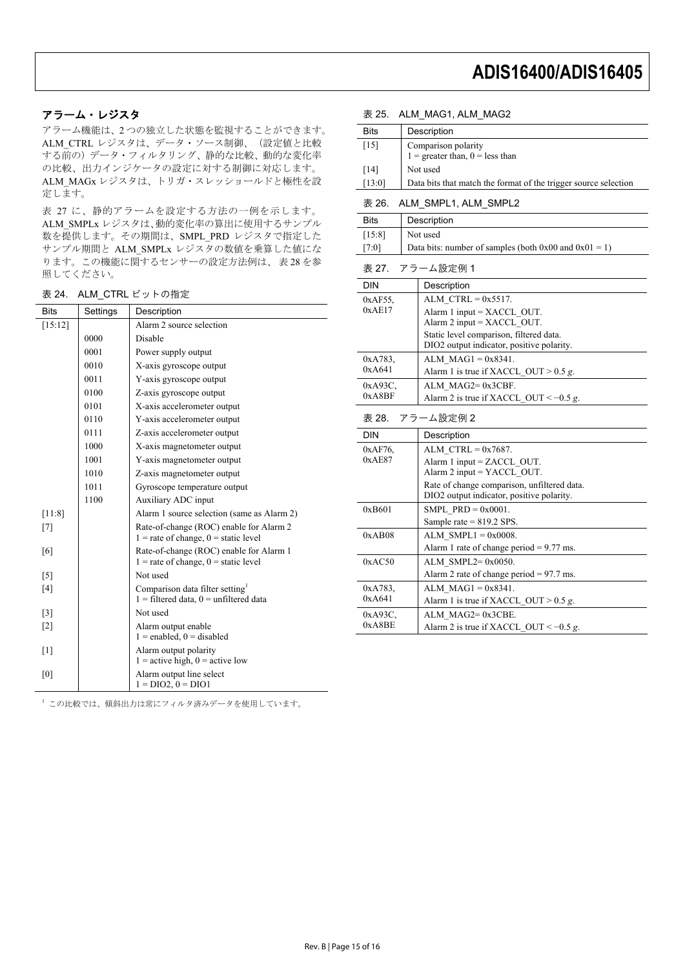#### アラーム・レジスタ

アラーム機能は、2 つの独立した状態を監視することができます。 ALM\_CTRL レジスタは、データ・ソース制御、(設定値と比較 する前の)データ・フィルタリング、静的な比較、動的な変化率 の比較、出力インジケータの設定に対する制御に対応します。 ALM\_MAGx レジスタは、トリガ・スレッショールドと極性を設 定します。

表 27 に、静的アラームを設定する方法の一例を示します。 ALM\_SMPLx レジスタは、動的変化率の算出に使用するサンプル 数を提供します。その期間は、SMPL\_PRD レジスタで指定した サンプル期間と ALM\_SMPLx レジスタの数値を乗算した値にな ります。この機能に関するセンサーの設定方法例は、 表 28 を参 照してください。

表 24. ALM\_CTRL ビットの指定

| <b>Bits</b>       | Settings | Description                                                                         |
|-------------------|----------|-------------------------------------------------------------------------------------|
| [15:12]           |          | Alarm 2 source selection                                                            |
|                   | 0000     | Disable                                                                             |
|                   | 0001     | Power supply output                                                                 |
|                   | 0010     | X-axis gyroscope output                                                             |
|                   | 0011     | Y-axis gyroscope output                                                             |
|                   | 0100     | Z-axis gyroscope output                                                             |
|                   | 0101     | X-axis accelerometer output                                                         |
|                   | 0110     | Y-axis accelerometer output                                                         |
|                   | 0111     | Z-axis accelerometer output                                                         |
|                   | 1000     | X-axis magnetometer output                                                          |
|                   | 1001     | Y-axis magnetometer output                                                          |
|                   | 1010     | Z-axis magnetometer output                                                          |
|                   | 1011     | Gyroscope temperature output                                                        |
|                   | 1100     | Auxiliary ADC input                                                                 |
| [11:8]            |          | Alarm 1 source selection (same as Alarm 2)                                          |
| [7]               |          | Rate-of-change (ROC) enable for Alarm 2<br>$1 =$ rate of change, $0 =$ static level |
| [6]               |          | Rate-of-change (ROC) enable for Alarm 1<br>$1 =$ rate of change, $0 =$ static level |
| $\lceil 5 \rceil$ |          | Not used                                                                            |
| [4]               |          | Comparison data filter setting<br>$1 =$ filtered data, $0 =$ unfiltered data        |
| $\lceil 3 \rceil$ |          | Not used                                                                            |
| $\lceil 2 \rceil$ |          | Alarm output enable<br>$1 =$ enabled, $0 =$ disabled                                |
| $\lceil 1 \rceil$ |          | Alarm output polarity<br>$1 =$ active high, $0 =$ active low                        |
| [0]               |          | Alarm output line select<br>$1 = DIO2$ , $0 = DIO1$                                 |

#### 表 25. ALM\_MAG1, ALM\_MAG2

| Description<br>Bits<br>$[15]$<br>Comparison polarity<br>$1 =$ greater than, $0 =$ less than<br>Not used<br>$[14]$<br>[13:0]<br>Data bits that match the format of the trigger source selection<br>表 26.<br>ALM SMPL1, ALM SMPL2<br><b>Bits</b><br>Description<br>[15:8]<br>Not used<br>Data bits: number of samples (both $0x00$ and $0x01 = 1$ )<br>$[7:0]$<br>表 27.<br>アラーム設定例1<br>DIN<br>Description<br>0xAF55,<br>ALM $CTRL = 0x5517$ .<br>0xAE17<br>Alarm 1 input = XACCL_OUT.<br>Alarm $2$ input = XACCL OUT.<br>Static level comparison, filtered data.<br>DIO2 output indicator, positive polarity.<br>ALM $MAG1 = 0x8341$ .<br>0xA783.<br>0xA641<br>Alarm 1 is true if XACCL_OUT > 0.5 g.<br>ALM MAG2=0x3CBF.<br>0xA93C.<br>0xA8BF<br>Alarm 2 is true if XACCL OUT < $-0.5$ g.<br>表 28.<br>アラーム設定例 2<br>DIN<br>Description<br>ALM $CTRL = 0x7687$ .<br>0xAF76.<br>0xAE87<br>Alarm 1 input = $ZACCL$ OUT.<br>Alarm $2$ input = YACCL OUT.<br>Rate of change comparison, unfiltered data.<br>DIO2 output indicator, positive polarity.<br>SMPL $PRD = 0x0001$ .<br>0xB601<br>Sample rate $= 819.2$ SPS.<br>ALM $SMPL1 = 0x0008$ .<br>0xAB08<br>Alarm 1 rate of change period $= 9.77$ ms.<br>ALM SMPL2= $0x0050$ .<br>0xAC50<br>Alarm 2 rate of change period = $97.7$ ms.<br>ALM $MAG1 = 0x8341$ .<br>0xA783.<br>0xA641<br>Alarm 1 is true if XACCL_OUT > 0.5 g.<br>ALM MAG2=0x3CBE.<br>0xA93C<br>0xA8BE<br>Alarm 2 is true if XACCL OUT < $-0.5 g$ . | 13. LU. |  | $\overline{\phantom{a}}$ |  |  |
|---------------------------------------------------------------------------------------------------------------------------------------------------------------------------------------------------------------------------------------------------------------------------------------------------------------------------------------------------------------------------------------------------------------------------------------------------------------------------------------------------------------------------------------------------------------------------------------------------------------------------------------------------------------------------------------------------------------------------------------------------------------------------------------------------------------------------------------------------------------------------------------------------------------------------------------------------------------------------------------------------------------------------------------------------------------------------------------------------------------------------------------------------------------------------------------------------------------------------------------------------------------------------------------------------------------------------------------------------------------------------------------------------------------------------------------------------------------|---------|--|--------------------------|--|--|
|                                                                                                                                                                                                                                                                                                                                                                                                                                                                                                                                                                                                                                                                                                                                                                                                                                                                                                                                                                                                                                                                                                                                                                                                                                                                                                                                                                                                                                                               |         |  |                          |  |  |
|                                                                                                                                                                                                                                                                                                                                                                                                                                                                                                                                                                                                                                                                                                                                                                                                                                                                                                                                                                                                                                                                                                                                                                                                                                                                                                                                                                                                                                                               |         |  |                          |  |  |
|                                                                                                                                                                                                                                                                                                                                                                                                                                                                                                                                                                                                                                                                                                                                                                                                                                                                                                                                                                                                                                                                                                                                                                                                                                                                                                                                                                                                                                                               |         |  |                          |  |  |
|                                                                                                                                                                                                                                                                                                                                                                                                                                                                                                                                                                                                                                                                                                                                                                                                                                                                                                                                                                                                                                                                                                                                                                                                                                                                                                                                                                                                                                                               |         |  |                          |  |  |
|                                                                                                                                                                                                                                                                                                                                                                                                                                                                                                                                                                                                                                                                                                                                                                                                                                                                                                                                                                                                                                                                                                                                                                                                                                                                                                                                                                                                                                                               |         |  |                          |  |  |
|                                                                                                                                                                                                                                                                                                                                                                                                                                                                                                                                                                                                                                                                                                                                                                                                                                                                                                                                                                                                                                                                                                                                                                                                                                                                                                                                                                                                                                                               |         |  |                          |  |  |
|                                                                                                                                                                                                                                                                                                                                                                                                                                                                                                                                                                                                                                                                                                                                                                                                                                                                                                                                                                                                                                                                                                                                                                                                                                                                                                                                                                                                                                                               |         |  |                          |  |  |
|                                                                                                                                                                                                                                                                                                                                                                                                                                                                                                                                                                                                                                                                                                                                                                                                                                                                                                                                                                                                                                                                                                                                                                                                                                                                                                                                                                                                                                                               |         |  |                          |  |  |
|                                                                                                                                                                                                                                                                                                                                                                                                                                                                                                                                                                                                                                                                                                                                                                                                                                                                                                                                                                                                                                                                                                                                                                                                                                                                                                                                                                                                                                                               |         |  |                          |  |  |
|                                                                                                                                                                                                                                                                                                                                                                                                                                                                                                                                                                                                                                                                                                                                                                                                                                                                                                                                                                                                                                                                                                                                                                                                                                                                                                                                                                                                                                                               |         |  |                          |  |  |
|                                                                                                                                                                                                                                                                                                                                                                                                                                                                                                                                                                                                                                                                                                                                                                                                                                                                                                                                                                                                                                                                                                                                                                                                                                                                                                                                                                                                                                                               |         |  |                          |  |  |
|                                                                                                                                                                                                                                                                                                                                                                                                                                                                                                                                                                                                                                                                                                                                                                                                                                                                                                                                                                                                                                                                                                                                                                                                                                                                                                                                                                                                                                                               |         |  |                          |  |  |
|                                                                                                                                                                                                                                                                                                                                                                                                                                                                                                                                                                                                                                                                                                                                                                                                                                                                                                                                                                                                                                                                                                                                                                                                                                                                                                                                                                                                                                                               |         |  |                          |  |  |
|                                                                                                                                                                                                                                                                                                                                                                                                                                                                                                                                                                                                                                                                                                                                                                                                                                                                                                                                                                                                                                                                                                                                                                                                                                                                                                                                                                                                                                                               |         |  |                          |  |  |
|                                                                                                                                                                                                                                                                                                                                                                                                                                                                                                                                                                                                                                                                                                                                                                                                                                                                                                                                                                                                                                                                                                                                                                                                                                                                                                                                                                                                                                                               |         |  |                          |  |  |
|                                                                                                                                                                                                                                                                                                                                                                                                                                                                                                                                                                                                                                                                                                                                                                                                                                                                                                                                                                                                                                                                                                                                                                                                                                                                                                                                                                                                                                                               |         |  |                          |  |  |
|                                                                                                                                                                                                                                                                                                                                                                                                                                                                                                                                                                                                                                                                                                                                                                                                                                                                                                                                                                                                                                                                                                                                                                                                                                                                                                                                                                                                                                                               |         |  |                          |  |  |
|                                                                                                                                                                                                                                                                                                                                                                                                                                                                                                                                                                                                                                                                                                                                                                                                                                                                                                                                                                                                                                                                                                                                                                                                                                                                                                                                                                                                                                                               |         |  |                          |  |  |
|                                                                                                                                                                                                                                                                                                                                                                                                                                                                                                                                                                                                                                                                                                                                                                                                                                                                                                                                                                                                                                                                                                                                                                                                                                                                                                                                                                                                                                                               |         |  |                          |  |  |
|                                                                                                                                                                                                                                                                                                                                                                                                                                                                                                                                                                                                                                                                                                                                                                                                                                                                                                                                                                                                                                                                                                                                                                                                                                                                                                                                                                                                                                                               |         |  |                          |  |  |
|                                                                                                                                                                                                                                                                                                                                                                                                                                                                                                                                                                                                                                                                                                                                                                                                                                                                                                                                                                                                                                                                                                                                                                                                                                                                                                                                                                                                                                                               |         |  |                          |  |  |
|                                                                                                                                                                                                                                                                                                                                                                                                                                                                                                                                                                                                                                                                                                                                                                                                                                                                                                                                                                                                                                                                                                                                                                                                                                                                                                                                                                                                                                                               |         |  |                          |  |  |
|                                                                                                                                                                                                                                                                                                                                                                                                                                                                                                                                                                                                                                                                                                                                                                                                                                                                                                                                                                                                                                                                                                                                                                                                                                                                                                                                                                                                                                                               |         |  |                          |  |  |
|                                                                                                                                                                                                                                                                                                                                                                                                                                                                                                                                                                                                                                                                                                                                                                                                                                                                                                                                                                                                                                                                                                                                                                                                                                                                                                                                                                                                                                                               |         |  |                          |  |  |
|                                                                                                                                                                                                                                                                                                                                                                                                                                                                                                                                                                                                                                                                                                                                                                                                                                                                                                                                                                                                                                                                                                                                                                                                                                                                                                                                                                                                                                                               |         |  |                          |  |  |
|                                                                                                                                                                                                                                                                                                                                                                                                                                                                                                                                                                                                                                                                                                                                                                                                                                                                                                                                                                                                                                                                                                                                                                                                                                                                                                                                                                                                                                                               |         |  |                          |  |  |
|                                                                                                                                                                                                                                                                                                                                                                                                                                                                                                                                                                                                                                                                                                                                                                                                                                                                                                                                                                                                                                                                                                                                                                                                                                                                                                                                                                                                                                                               |         |  |                          |  |  |
|                                                                                                                                                                                                                                                                                                                                                                                                                                                                                                                                                                                                                                                                                                                                                                                                                                                                                                                                                                                                                                                                                                                                                                                                                                                                                                                                                                                                                                                               |         |  |                          |  |  |
|                                                                                                                                                                                                                                                                                                                                                                                                                                                                                                                                                                                                                                                                                                                                                                                                                                                                                                                                                                                                                                                                                                                                                                                                                                                                                                                                                                                                                                                               |         |  |                          |  |  |
|                                                                                                                                                                                                                                                                                                                                                                                                                                                                                                                                                                                                                                                                                                                                                                                                                                                                                                                                                                                                                                                                                                                                                                                                                                                                                                                                                                                                                                                               |         |  |                          |  |  |
|                                                                                                                                                                                                                                                                                                                                                                                                                                                                                                                                                                                                                                                                                                                                                                                                                                                                                                                                                                                                                                                                                                                                                                                                                                                                                                                                                                                                                                                               |         |  |                          |  |  |
|                                                                                                                                                                                                                                                                                                                                                                                                                                                                                                                                                                                                                                                                                                                                                                                                                                                                                                                                                                                                                                                                                                                                                                                                                                                                                                                                                                                                                                                               |         |  |                          |  |  |
|                                                                                                                                                                                                                                                                                                                                                                                                                                                                                                                                                                                                                                                                                                                                                                                                                                                                                                                                                                                                                                                                                                                                                                                                                                                                                                                                                                                                                                                               |         |  |                          |  |  |
|                                                                                                                                                                                                                                                                                                                                                                                                                                                                                                                                                                                                                                                                                                                                                                                                                                                                                                                                                                                                                                                                                                                                                                                                                                                                                                                                                                                                                                                               |         |  |                          |  |  |
|                                                                                                                                                                                                                                                                                                                                                                                                                                                                                                                                                                                                                                                                                                                                                                                                                                                                                                                                                                                                                                                                                                                                                                                                                                                                                                                                                                                                                                                               |         |  |                          |  |  |

<sup>1</sup> この比較では、傾斜出力は常にフィルタ済みデータを使用しています。